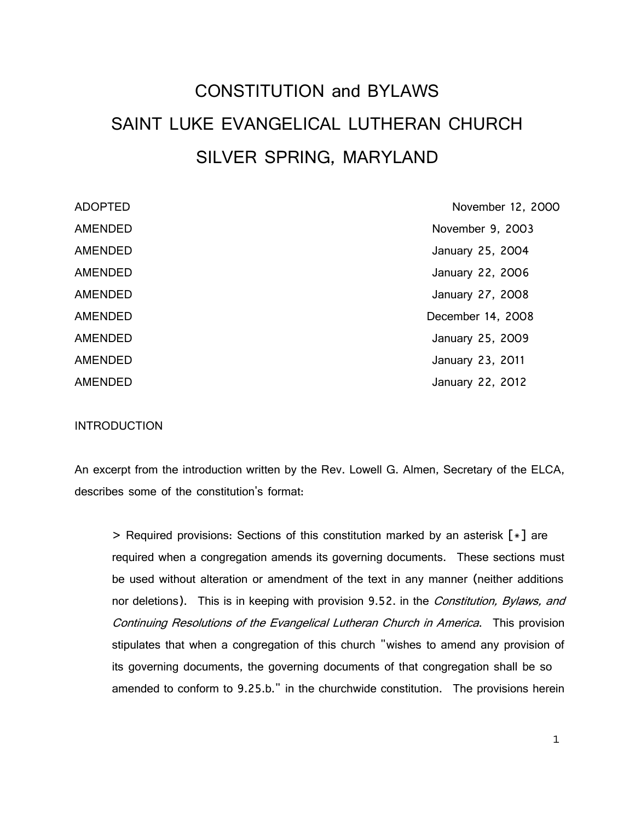# CONSTITUTION and BYLAWS SAINT LUKE EVANGELICAL LUTHERAN CHURCH SILVER SPRING, MARYLAND

| <b>ADOPTED</b> | November 12, 2000 |
|----------------|-------------------|
| <b>AMENDED</b> | November 9, 2003  |
| AMENDED        | January 25, 2004  |
| AMENDED        | January 22, 2006  |
| AMENDED        | January 27, 2008  |
| <b>AMENDED</b> | December 14, 2008 |
| <b>AMENDED</b> | January 25, 2009  |
| AMENDED        | January 23, 2011  |
| <b>AMENDED</b> | January 22, 2012  |

#### **INTRODUCTION**

An excerpt from the introduction written by the Rev. Lowell G. Almen, Secretary of the ELCA, describes some of the constitution's format:

> Required provisions: Sections of this constitution marked by an asterisk [\*] are required when a congregation amends its governing documents. These sections must be used without alteration or amendment of the text in any manner (neither additions nor deletions). This is in keeping with provision 9.52. in the Constitution, Bylaws, and Continuing Resolutions of the Evangelical Lutheran Church in America. This provision stipulates that when a congregation of this church "wishes to amend any provision of its governing documents, the governing documents of that congregation shall be so amended to conform to 9.25.b." in the churchwide constitution. The provisions herein

1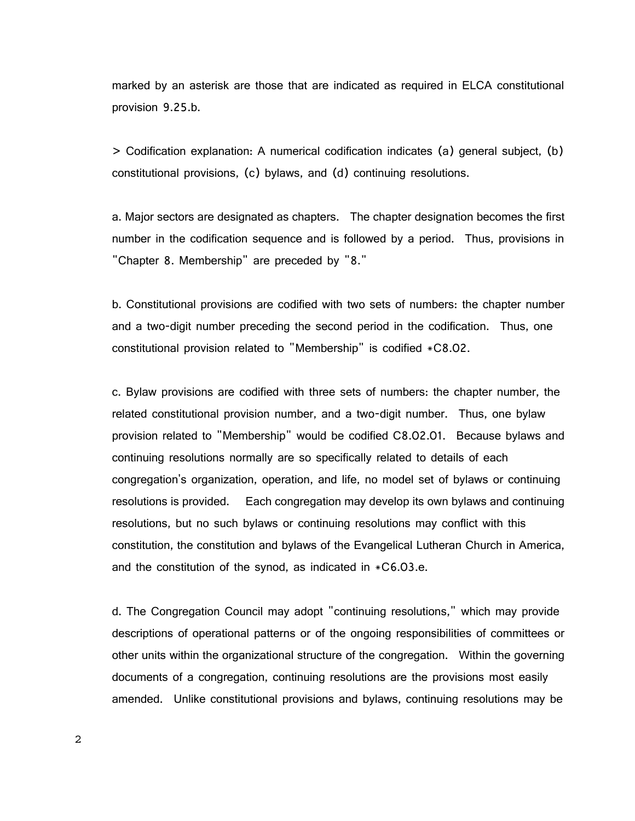marked by an asterisk are those that are indicated as required in ELCA constitutional provision 9.25.b.

> Codification explanation: A numerical codification indicates (a) general subject, (b) constitutional provisions, (c) bylaws, and (d) continuing resolutions.

a. Major sectors are designated as chapters. The chapter designation becomes the first number in the codification sequence and is followed by a period. Thus, provisions in "Chapter 8. Membership" are preceded by "8."

b. Constitutional provisions are codified with two sets of numbers: the chapter number and a two-digit number preceding the second period in the codification. Thus, one constitutional provision related to "Membership" is codified \*C8.02.

c. Bylaw provisions are codified with three sets of numbers: the chapter number, the related constitutional provision number, and a two-digit number. Thus, one bylaw provision related to "Membership" would be codified C8.02.01. Because bylaws and continuing resolutions normally are so specifically related to details of each congregation's organization, operation, and life, no model set of bylaws or continuing resolutions is provided. Each congregation may develop its own bylaws and continuing resolutions, but no such bylaws or continuing resolutions may conflict with this constitution, the constitution and bylaws of the Evangelical Lutheran Church in America, and the constitution of the synod, as indicated in \*C6.03.e.

d. The Congregation Council may adopt "continuing resolutions," which may provide descriptions of operational patterns or of the ongoing responsibilities of committees or other units within the organizational structure of the congregation. Within the governing documents of a congregation, continuing resolutions are the provisions most easily amended. Unlike constitutional provisions and bylaws, continuing resolutions may be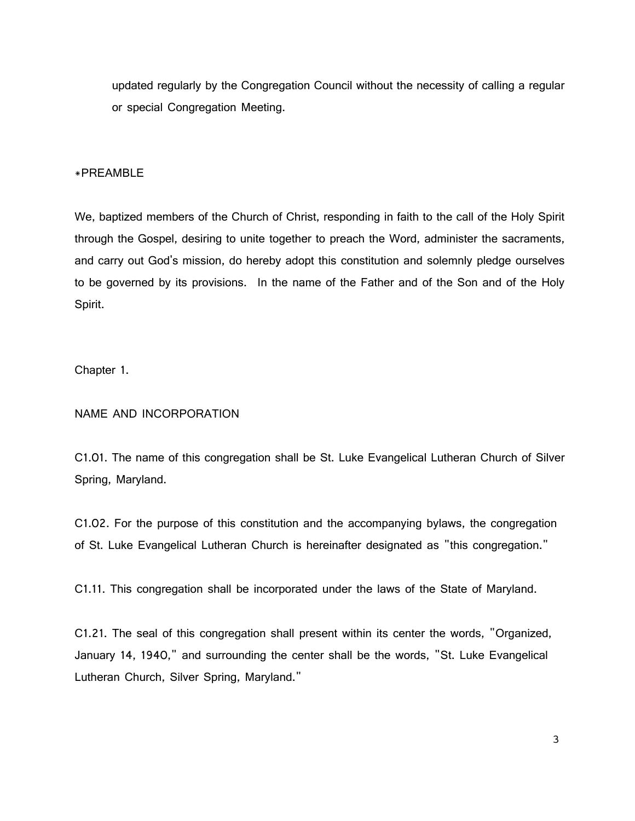updated regularly by the Congregation Council without the necessity of calling a regular or special Congregation Meeting.

#### \*PREAMBLE

We, baptized members of the Church of Christ, responding in faith to the call of the Holy Spirit through the Gospel, desiring to unite together to preach the Word, administer the sacraments, and carry out God's mission, do hereby adopt this constitution and solemnly pledge ourselves to be governed by its provisions. In the name of the Father and of the Son and of the Holy Spirit.

Chapter 1.

## NAME AND INCORPORATION

C1.01. The name of this congregation shall be St. Luke Evangelical Lutheran Church of Silver Spring, Maryland.

C1.02. For the purpose of this constitution and the accompanying bylaws, the congregation of St. Luke Evangelical Lutheran Church is hereinafter designated as "this congregation."

C1.11. This congregation shall be incorporated under the laws of the State of Maryland.

C1.21. The seal of this congregation shall present within its center the words, "Organized, January 14, 1940," and surrounding the center shall be the words, "St. Luke Evangelical Lutheran Church, Silver Spring, Maryland."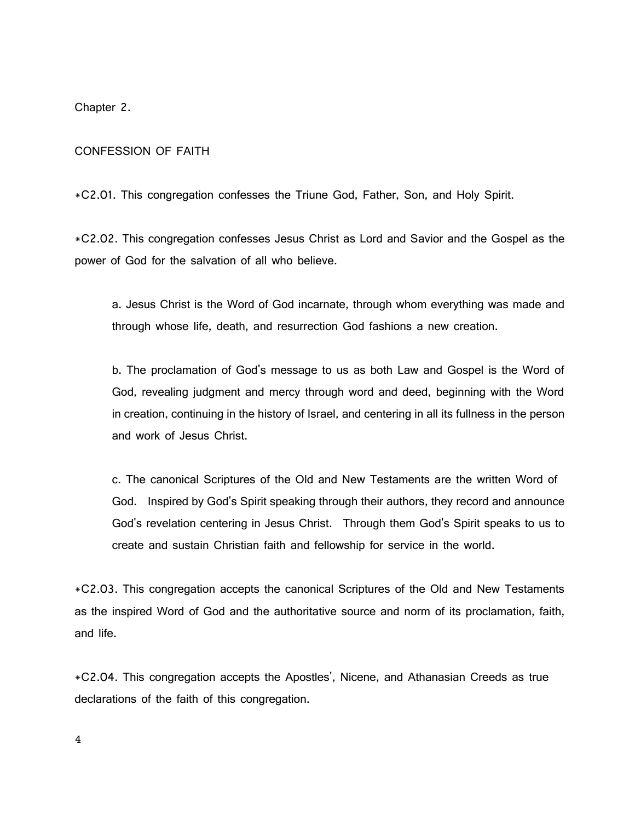Chapter 2.

## CONFESSION OF FAITH

\*C2.01. This congregation confesses the Triune God, Father, Son, and Holy Spirit.

\*C2.02. This congregation confesses Jesus Christ as Lord and Savior and the Gospel as the power of God for the salvation of all who believe.

a. Jesus Christ is the Word of God incarnate, through whom everything was made and through whose life, death, and resurrection God fashions a new creation.

b. The proclamation of God's message to us as both Law and Gospel is the Word of God, revealing judgment and mercy through word and deed, beginning with the Word in creation, continuing in the history of Israel, and centering in all its fullness in the person and work of Jesus Christ.

c. The canonical Scriptures of the Old and New Testaments are the written Word of God. Inspired by God's Spirit speaking through their authors, they record and announce God's revelation centering in Jesus Christ. Through them God's Spirit speaks to us to create and sustain Christian faith and fellowship for service in the world.

\*C2.03. This congregation accepts the canonical Scriptures of the Old and New Testaments as the inspired Word of God and the authoritative source and norm of its proclamation, faith, and life.

\*C2.04. This congregation accepts the Apostles', Nicene, and Athanasian Creeds as true declarations of the faith of this congregation.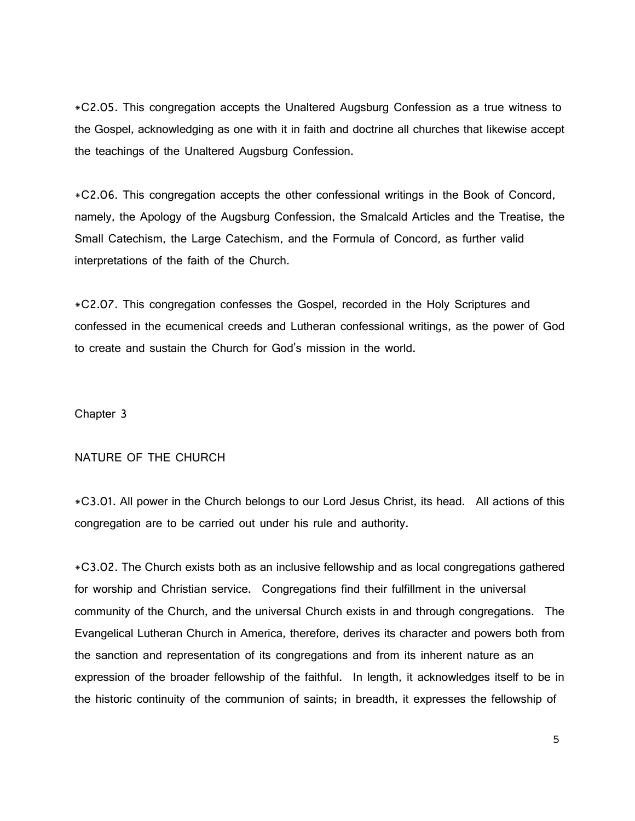\*C2.05. This congregation accepts the Unaltered Augsburg Confession as a true witness to the Gospel, acknowledging as one with it in faith and doctrine all churches that likewise accept the teachings of the Unaltered Augsburg Confession.

\*C2.06. This congregation accepts the other confessional writings in the Book of Concord, namely, the Apology of the Augsburg Confession, the Smalcald Articles and the Treatise, the Small Catechism, the Large Catechism, and the Formula of Concord, as further valid interpretations of the faith of the Church.

\*C2.07. This congregation confesses the Gospel, recorded in the Holy Scriptures and confessed in the ecumenical creeds and Lutheran confessional writings, as the power of God to create and sustain the Church for God's mission in the world.

Chapter 3

# NATURE OF THE CHURCH

\*C3.01. All power in the Church belongs to our Lord Jesus Christ, its head. All actions of this congregation are to be carried out under his rule and authority.

\*C3.02. The Church exists both as an inclusive fellowship and as local congregations gathered for worship and Christian service. Congregations find their fulfillment in the universal community of the Church, and the universal Church exists in and through congregations. The Evangelical Lutheran Church in America, therefore, derives its character and powers both from the sanction and representation of its congregations and from its inherent nature as an expression of the broader fellowship of the faithful. In length, it acknowledges itself to be in the historic continuity of the communion of saints; in breadth, it expresses the fellowship of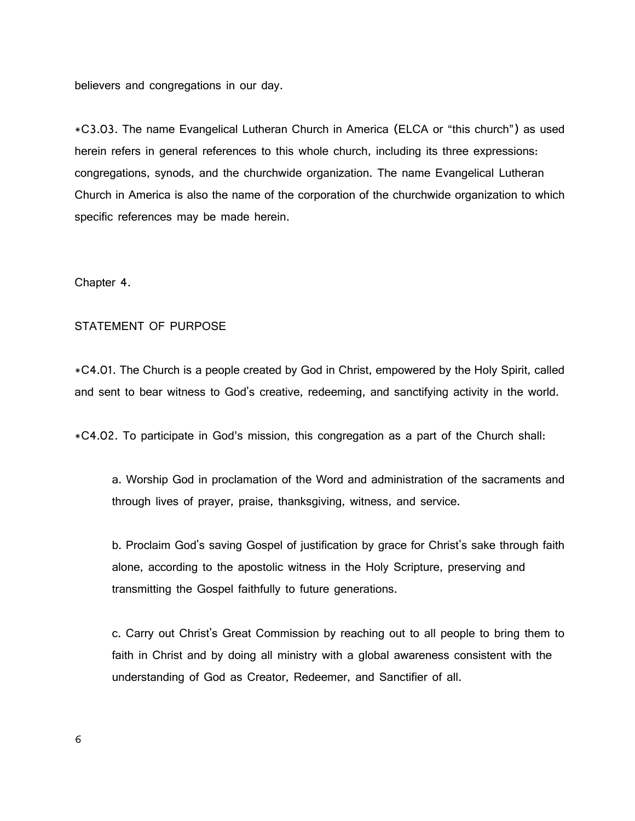believers and congregations in our day.

\*C3.03. The name Evangelical Lutheran Church in America (ELCA or "this church") as used herein refers in general references to this whole church, including its three expressions: congregations, synods, and the churchwide organization. The name Evangelical Lutheran Church in America is also the name of the corporation of the churchwide organization to which specific references may be made herein.

Chapter 4.

# STATEMENT OF PURPOSE

\*C4.01. The Church is a people created by God in Christ, empowered by the Holy Spirit, called and sent to bear witness to God's creative, redeeming, and sanctifying activity in the world.

\*C4.02. To participate in God's mission, this congregation as a part of the Church shall:

a. Worship God in proclamation of the Word and administration of the sacraments and through lives of prayer, praise, thanksgiving, witness, and service.

b. Proclaim God's saving Gospel of justification by grace for Christ's sake through faith alone, according to the apostolic witness in the Holy Scripture, preserving and transmitting the Gospel faithfully to future generations.

c. Carry out Christ's Great Commission by reaching out to all people to bring them to faith in Christ and by doing all ministry with a global awareness consistent with the understanding of God as Creator, Redeemer, and Sanctifier of all.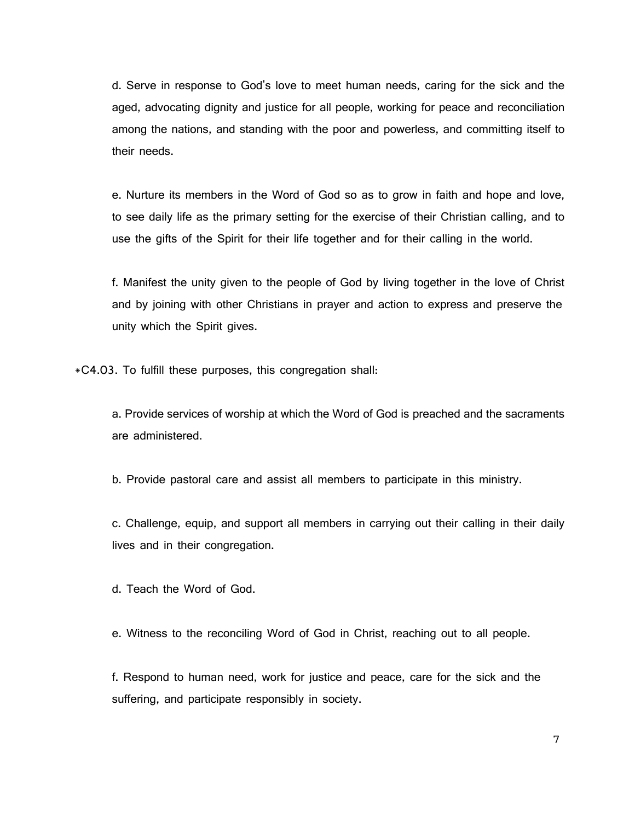d. Serve in response to God's love to meet human needs, caring for the sick and the aged, advocating dignity and justice for all people, working for peace and reconciliation among the nations, and standing with the poor and powerless, and committing itself to their needs.

e. Nurture its members in the Word of God so as to grow in faith and hope and love, to see daily life as the primary setting for the exercise of their Christian calling, and to use the gifts of the Spirit for their life together and for their calling in the world.

f. Manifest the unity given to the people of God by living together in the love of Christ and by joining with other Christians in prayer and action to express and preserve the unity which the Spirit gives.

\*C4.03. To fulfill these purposes, this congregation shall:

a. Provide services of worship at which the Word of God is preached and the sacraments are administered.

b. Provide pastoral care and assist all members to participate in this ministry.

c. Challenge, equip, and support all members in carrying out their calling in their daily lives and in their congregation.

d. Teach the Word of God.

e. Witness to the reconciling Word of God in Christ, reaching out to all people.

f. Respond to human need, work for justice and peace, care for the sick and the suffering, and participate responsibly in society.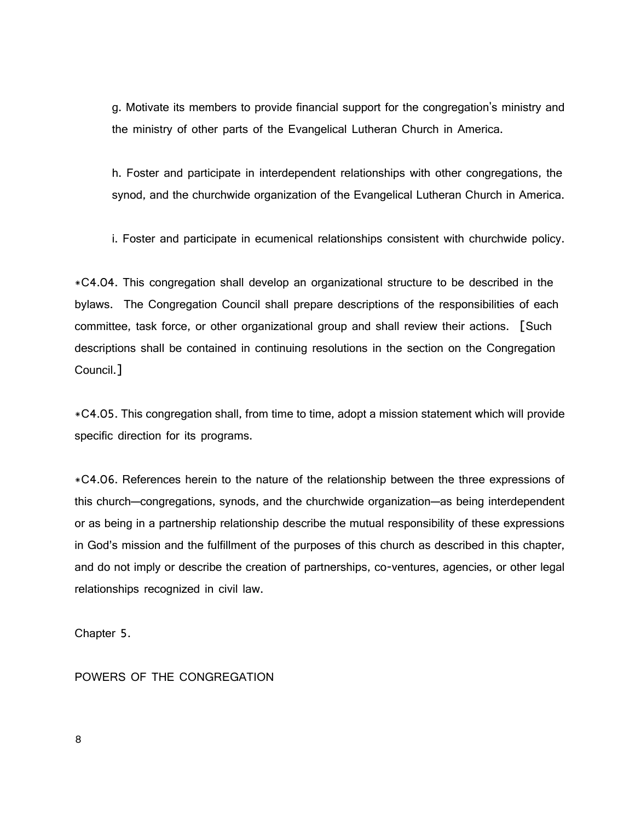g. Motivate its members to provide financial support for the congregation's ministry and the ministry of other parts of the Evangelical Lutheran Church in America.

h. Foster and participate in interdependent relationships with other congregations, the synod, and the churchwide organization of the Evangelical Lutheran Church in America.

i. Foster and participate in ecumenical relationships consistent with churchwide policy.

\*C4.04. This congregation shall develop an organizational structure to be described in the bylaws. The Congregation Council shall prepare descriptions of the responsibilities of each committee, task force, or other organizational group and shall review their actions. [Such descriptions shall be contained in continuing resolutions in the section on the Congregation Council.]

\*C4.05. This congregation shall, from time to time, adopt a mission statement which will provide specific direction for its programs.

\*C4.06. References herein to the nature of the relationship between the three expressions of this church-congregations, synods, and the churchwide organization-as being interdependent or as being in a partnership relationship describe the mutual responsibility of these expressions in God's mission and the fulfillment of the purposes of this church as described in this chapter, and do not imply or describe the creation of partnerships, co-ventures, agencies, or other legal relationships recognized in civil law.

Chapter 5.

POWERS OF THE CONGREGATION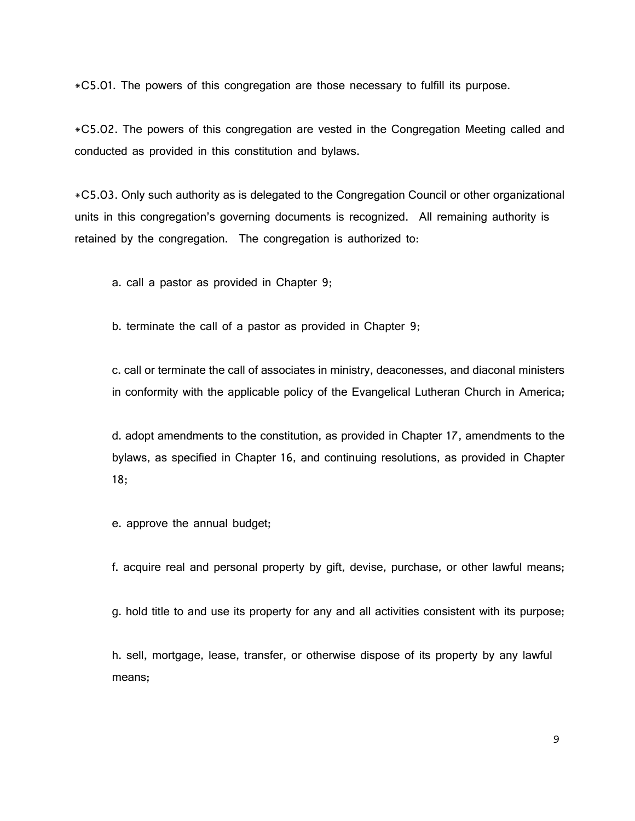\*C5.01. The powers of this congregation are those necessary to fulfill its purpose.

\*C5.02. The powers of this congregation are vested in the Congregation Meeting called and conducted as provided in this constitution and bylaws.

\*C5.03. Only such authority as is delegated to the Congregation Council or other organizational units in this congregation's governing documents is recognized. All remaining authority is retained by the congregation. The congregation is authorized to:

a. call a pastor as provided in Chapter 9;

b. terminate the call of a pastor as provided in Chapter 9;

c. call or terminate the call of associates in ministry, deaconesses, and diaconal ministers in conformity with the applicable policy of the Evangelical Lutheran Church in America;

d. adopt amendments to the constitution, as provided in Chapter 17, amendments to the bylaws, as specified in Chapter 16, and continuing resolutions, as provided in Chapter 18;

e. approve the annual budget;

f. acquire real and personal property by gift, devise, purchase, or other lawful means;

g. hold title to and use its property for any and all activities consistent with its purpose;

h. sell, mortgage, lease, transfer, or otherwise dispose of its property by any lawful means;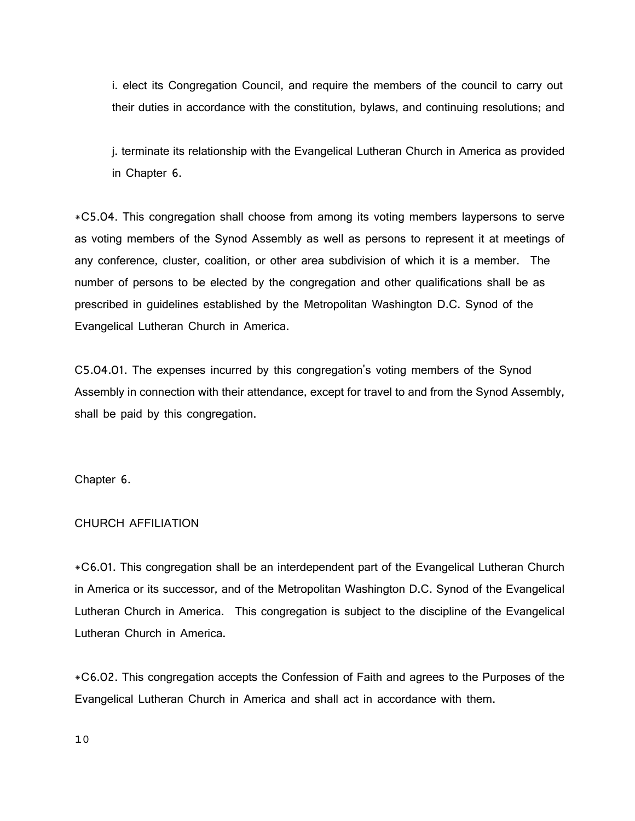i. elect its Congregation Council, and require the members of the council to carry out their duties in accordance with the constitution, bylaws, and continuing resolutions; and

j. terminate its relationship with the Evangelical Lutheran Church in America as provided in Chapter 6.

\*C5.04. This congregation shall choose from among its voting members laypersons to serve as voting members of the Synod Assembly as well as persons to represent it at meetings of any conference, cluster, coalition, or other area subdivision of which it is a member. The number of persons to be elected by the congregation and other qualifications shall be as prescribed in guidelines established by the Metropolitan Washington D.C. Synod of the Evangelical Lutheran Church in America.

C5.04.01. The expenses incurred by this congregation's voting members of the Synod Assembly in connection with their attendance, except for travel to and from the Synod Assembly, shall be paid by this congregation.

Chapter 6.

# CHURCH AFFILIATION

\*C6.01. This congregation shall be an interdependent part of the Evangelical Lutheran Church in America or its successor, and of the Metropolitan Washington D.C. Synod of the Evangelical Lutheran Church in America. This congregation is subject to the discipline of the Evangelical Lutheran Church in America.

\*C6.02. This congregation accepts the Confession of Faith and agrees to the Purposes of the Evangelical Lutheran Church in America and shall act in accordance with them.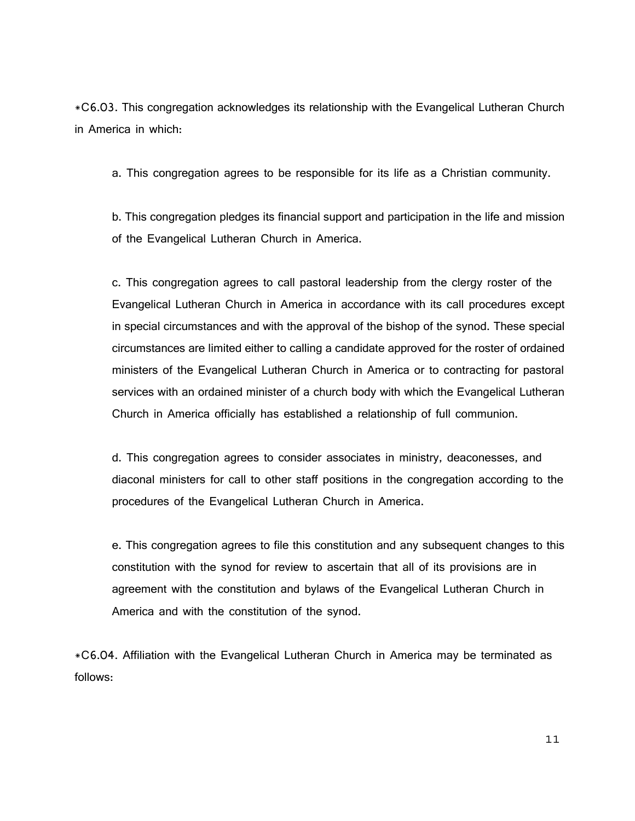\*C6.03. This congregation acknowledges its relationship with the Evangelical Lutheran Church in America in which:

a. This congregation agrees to be responsible for its life as a Christian community.

b. This congregation pledges its financial support and participation in the life and mission of the Evangelical Lutheran Church in America.

c. This congregation agrees to call pastoral leadership from the clergy roster of the Evangelical Lutheran Church in America in accordance with its call procedures except in special circumstances and with the approval of the bishop of the synod. These special circumstances are limited either to calling a candidate approved for the roster of ordained ministers of the Evangelical Lutheran Church in America or to contracting for pastoral services with an ordained minister of a church body with which the Evangelical Lutheran Church in America officially has established a relationship of full communion.

d. This congregation agrees to consider associates in ministry, deaconesses, and diaconal ministers for call to other staff positions in the congregation according to the procedures of the Evangelical Lutheran Church in America.

e. This congregation agrees to file this constitution and any subsequent changes to this constitution with the synod for review to ascertain that all of its provisions are in agreement with the constitution and bylaws of the Evangelical Lutheran Church in America and with the constitution of the synod.

\*C6.04. Affiliation with the Evangelical Lutheran Church in America may be terminated as follows: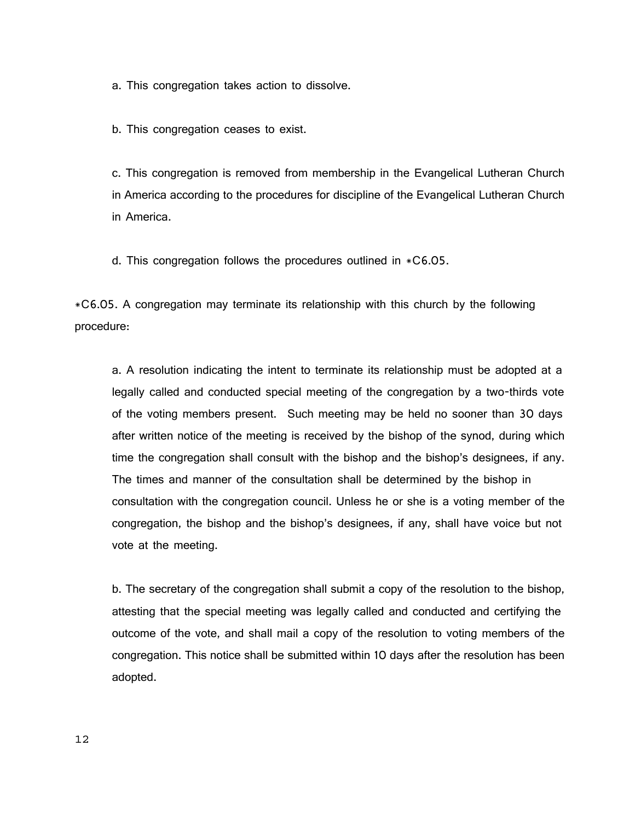a. This congregation takes action to dissolve.

b. This congregation ceases to exist.

c. This congregation is removed from membership in the Evangelical Lutheran Church in America according to the procedures for discipline of the Evangelical Lutheran Church in America.

d. This congregation follows the procedures outlined in \*C6.05.

\*C6.05. A congregation may terminate its relationship with this church by the following procedure:

a. A resolution indicating the intent to terminate its relationship must be adopted at a legally called and conducted special meeting of the congregation by a two-thirds vote of the voting members present. Such meeting may be held no sooner than 30 days after written notice of the meeting is received by the bishop of the synod, during which time the congregation shall consult with the bishop and the bishop's designees, if any. The times and manner of the consultation shall be determined by the bishop in consultation with the congregation council. Unless he or she is a voting member of the congregation, the bishop and the bishop's designees, if any, shall have voice but not vote at the meeting.

b. The secretary of the congregation shall submit a copy of the resolution to the bishop, attesting that the special meeting was legally called and conducted and certifying the outcome of the vote, and shall mail a copy of the resolution to voting members of the congregation. This notice shall be submitted within 10 days after the resolution has been adopted.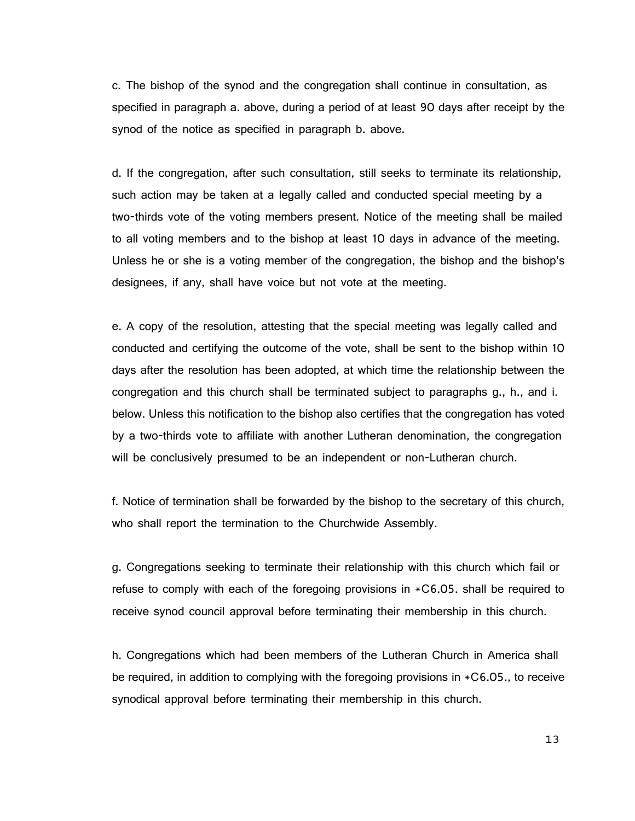c. The bishop of the synod and the congregation shall continue in consultation, as specified in paragraph a. above, during a period of at least 90 days after receipt by the synod of the notice as specified in paragraph b. above.

d. If the congregation, after such consultation, still seeks to terminate its relationship, such action may be taken at a legally called and conducted special meeting by a two-thirds vote of the voting members present. Notice of the meeting shall be mailed to all voting members and to the bishop at least 10 days in advance of the meeting. Unless he or she is a voting member of the congregation, the bishop and the bishop's designees, if any, shall have voice but not vote at the meeting.

e. A copy of the resolution, attesting that the special meeting was legally called and conducted and certifying the outcome of the vote, shall be sent to the bishop within 10 days after the resolution has been adopted, at which time the relationship between the congregation and this church shall be terminated subject to paragraphs g., h., and i. below. Unless this notification to the bishop also certifies that the congregation has voted by a two-thirds vote to affiliate with another Lutheran denomination, the congregation will be conclusively presumed to be an independent or non-Lutheran church.

f. Notice of termination shall be forwarded by the bishop to the secretary of this church, who shall report the termination to the Churchwide Assembly.

g. Congregations seeking to terminate their relationship with this church which fail or refuse to comply with each of the foregoing provisions in \*C6.05. shall be required to receive synod council approval before terminating their membership in this church.

h. Congregations which had been members of the Lutheran Church in America shall be required, in addition to complying with the foregoing provisions in \*C6.05., to receive synodical approval before terminating their membership in this church.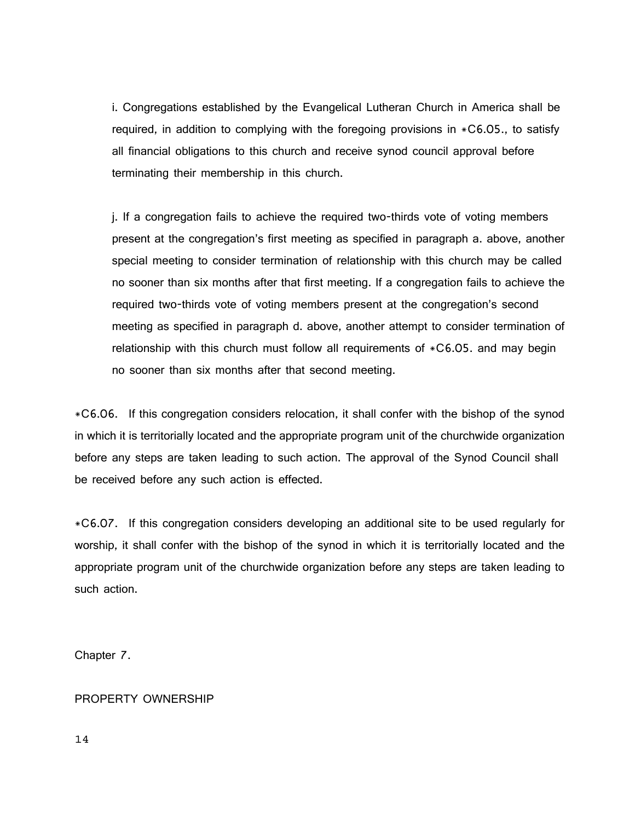i. Congregations established by the Evangelical Lutheran Church in America shall be required, in addition to complying with the foregoing provisions in \*C6.05., to satisfy all financial obligations to this church and receive synod council approval before terminating their membership in this church.

j. If a congregation fails to achieve the required two-thirds vote of voting members present at the congregation's first meeting as specified in paragraph a. above, another special meeting to consider termination of relationship with this church may be called no sooner than six months after that first meeting. If a congregation fails to achieve the required two-thirds vote of voting members present at the congregation's second meeting as specified in paragraph d. above, another attempt to consider termination of relationship with this church must follow all requirements of  $*C6.05$ . and may begin no sooner than six months after that second meeting.

\*C6.06. If this congregation considers relocation, it shall confer with the bishop of the synod in which it is territorially located and the appropriate program unit of the churchwide organization before any steps are taken leading to such action. The approval of the Synod Council shall be received before any such action is effected.

\*C6.07. If this congregation considers developing an additional site to be used regularly for worship, it shall confer with the bishop of the synod in which it is territorially located and the appropriate program unit of the churchwide organization before any steps are taken leading to such action.

Chapter 7.

# PROPERTY OWNERSHIP

14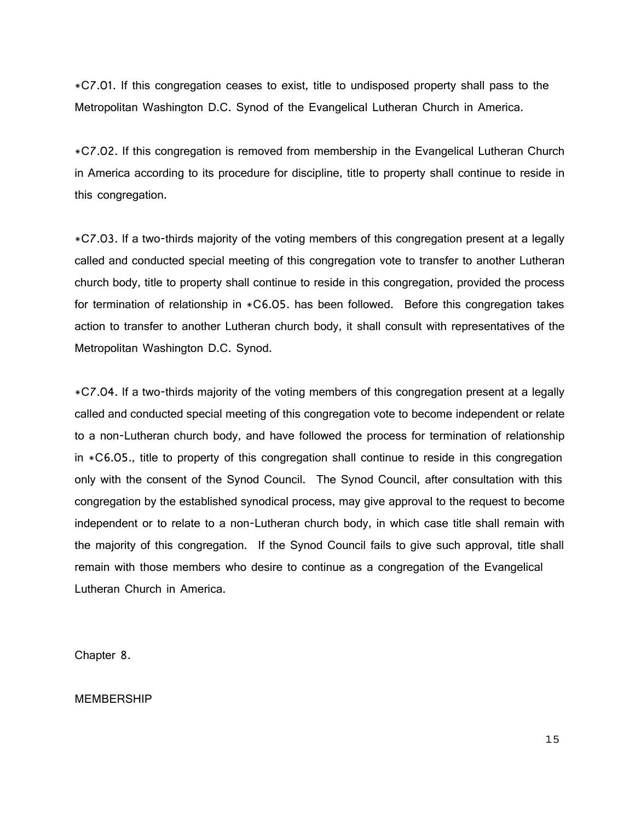\*C7.01. If this congregation ceases to exist, title to undisposed property shall pass to the Metropolitan Washington D.C. Synod of the Evangelical Lutheran Church in America.

\*C7.02. If this congregation is removed from membership in the Evangelical Lutheran Church in America according to its procedure for discipline, title to property shall continue to reside in this congregation.

\*C7.03. If a two-thirds majority of the voting members of this congregation present at a legally called and conducted special meeting of this congregation vote to transfer to another Lutheran church body, title to property shall continue to reside in this congregation, provided the process for termination of relationship in \*C6.05. has been followed. Before this congregation takes action to transfer to another Lutheran church body, it shall consult with representatives of the Metropolitan Washington D.C. Synod.

\*C7.04. If a two-thirds majority of the voting members of this congregation present at a legally called and conducted special meeting of this congregation vote to become independent or relate to a non-Lutheran church body, and have followed the process for termination of relationship in \*C6.05., title to property of this congregation shall continue to reside in this congregation only with the consent of the Synod Council. The Synod Council, after consultation with this congregation by the established synodical process, may give approval to the request to become independent or to relate to a non-Lutheran church body, in which case title shall remain with the majority of this congregation. If the Synod Council fails to give such approval, title shall remain with those members who desire to continue as a congregation of the Evangelical Lutheran Church in America.

Chapter 8.

MEMBERSHIP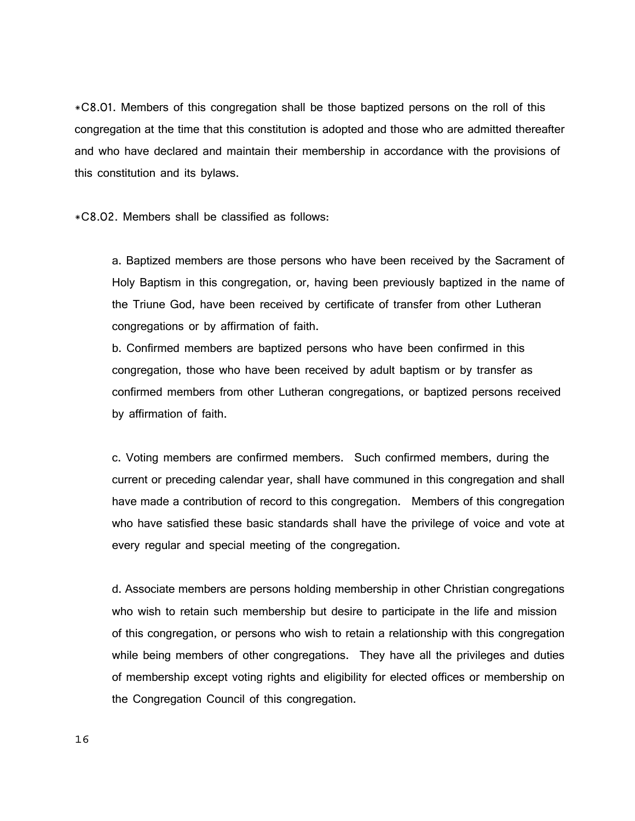\*C8.01. Members of this congregation shall be those baptized persons on the roll of this congregation at the time that this constitution is adopted and those who are admitted thereafter and who have declared and maintain their membership in accordance with the provisions of this constitution and its bylaws.

\*C8.02. Members shall be classified as follows:

a. Baptized members are those persons who have been received by the Sacrament of Holy Baptism in this congregation, or, having been previously baptized in the name of the Triune God, have been received by certificate of transfer from other Lutheran congregations or by affirmation of faith.

b. Confirmed members are baptized persons who have been confirmed in this congregation, those who have been received by adult baptism or by transfer as confirmed members from other Lutheran congregations, or baptized persons received by affirmation of faith.

c. Voting members are confirmed members. Such confirmed members, during the current or preceding calendar year, shall have communed in this congregation and shall have made a contribution of record to this congregation. Members of this congregation who have satisfied these basic standards shall have the privilege of voice and vote at every regular and special meeting of the congregation.

d. Associate members are persons holding membership in other Christian congregations who wish to retain such membership but desire to participate in the life and mission of this congregation, or persons who wish to retain a relationship with this congregation while being members of other congregations. They have all the privileges and duties of membership except voting rights and eligibility for elected offices or membership on the Congregation Council of this congregation.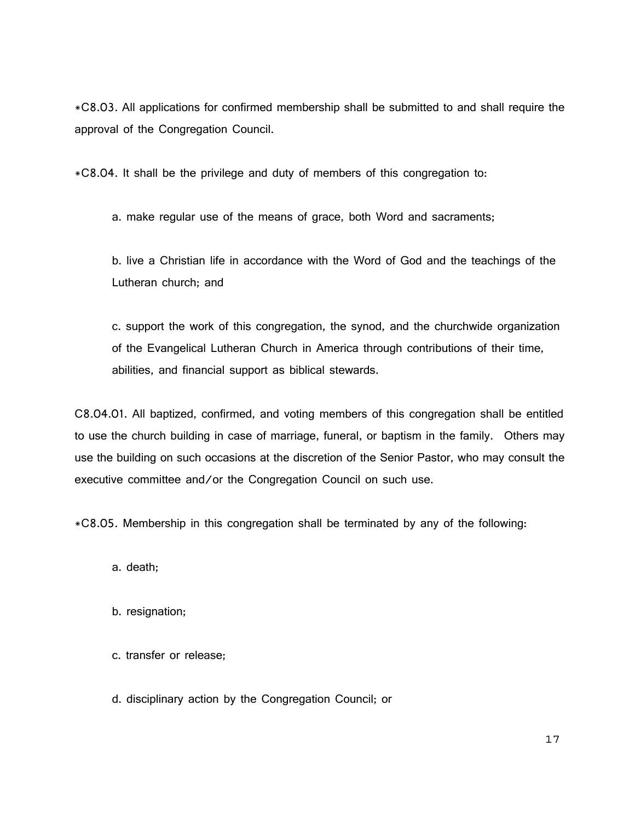\*C8.03. All applications for confirmed membership shall be submitted to and shall require the approval of the Congregation Council.

\*C8.04. It shall be the privilege and duty of members of this congregation to:

a. make regular use of the means of grace, both Word and sacraments;

b. live a Christian life in accordance with the Word of God and the teachings of the Lutheran church; and

c. support the work of this congregation, the synod, and the churchwide organization of the Evangelical Lutheran Church in America through contributions of their time, abilities, and financial support as biblical stewards.

C8.04.01. All baptized, confirmed, and voting members of this congregation shall be entitled to use the church building in case of marriage, funeral, or baptism in the family. Others may use the building on such occasions at the discretion of the Senior Pastor, who may consult the executive committee and/or the Congregation Council on such use.

\*C8.05. Membership in this congregation shall be terminated by any of the following:

a. death;

- b. resignation;
- c. transfer or release;

d. disciplinary action by the Congregation Council; or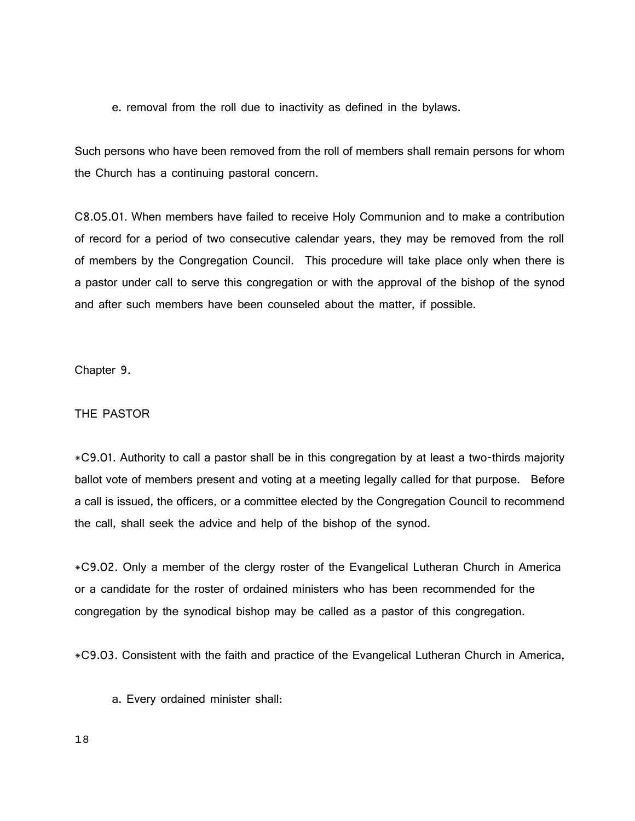e. removal from the roll due to inactivity as defined in the bylaws.

Such persons who have been removed from the roll of members shall remain persons for whom the Church has a continuing pastoral concern.

C8.05.01. When members have failed to receive Holy Communion and to make a contribution of record for a period of two consecutive calendar years, they may be removed from the roll of members by the Congregation Council. This procedure will take place only when there is a pastor under call to serve this congregation or with the approval of the bishop of the synod and after such members have been counseled about the matter, if possible.

Chapter 9.

# THE PASTOR

\*C9.01. Authority to call a pastor shall be in this congregation by at least a two-thirds majority ballot vote of members present and voting at a meeting legally called for that purpose. Before a call is issued, the officers, or a committee elected by the Congregation Council to recommend the call, shall seek the advice and help of the bishop of the synod.

\*C9.02. Only a member of the clergy roster of the Evangelical Lutheran Church in America or a candidate for the roster of ordained ministers who has been recommended for the congregation by the synodical bishop may be called as a pastor of this congregation.

\*C9.03. Consistent with the faith and practice of the Evangelical Lutheran Church in America,

a. Every ordained minister shall: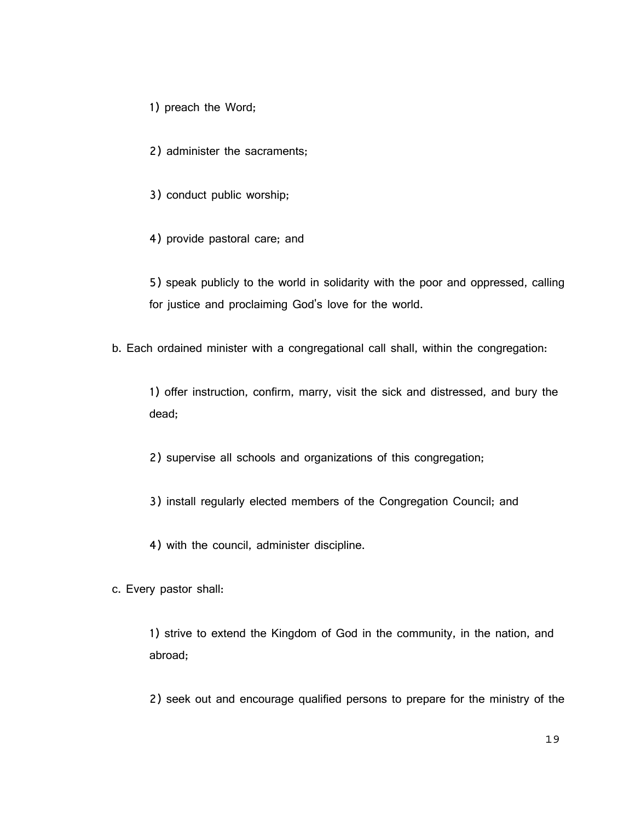1) preach the Word;

2) administer the sacraments;

3) conduct public worship;

4) provide pastoral care; and

5) speak publicly to the world in solidarity with the poor and oppressed, calling for justice and proclaiming God's love for the world.

b. Each ordained minister with a congregational call shall, within the congregation:

1) offer instruction, confirm, marry, visit the sick and distressed, and bury the dead;

2) supervise all schools and organizations of this congregation;

3) install regularly elected members of the Congregation Council; and

4) with the council, administer discipline.

c. Every pastor shall:

1) strive to extend the Kingdom of God in the community, in the nation, and abroad;

2) seek out and encourage qualified persons to prepare for the ministry of the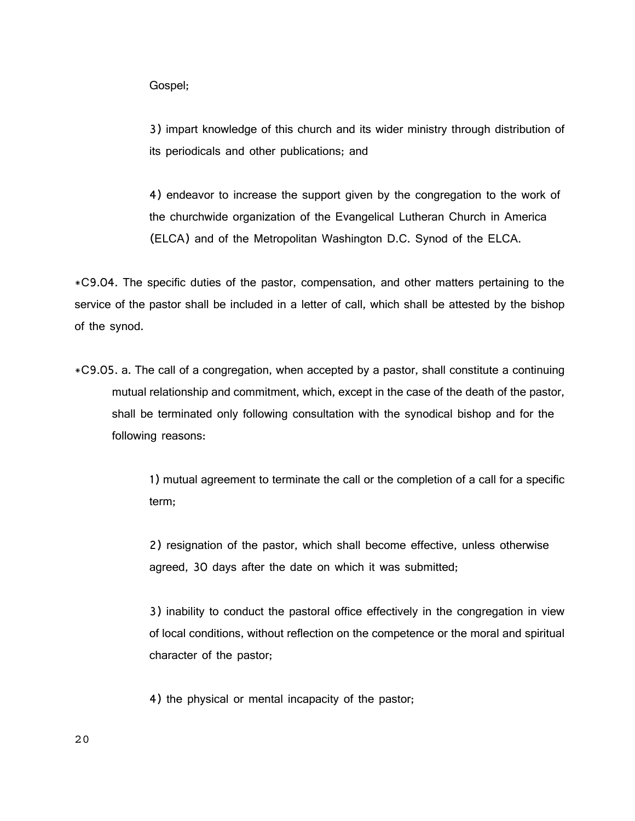Gospel;

3) impart knowledge of this church and its wider ministry through distribution of its periodicals and other publications; and

4) endeavor to increase the support given by the congregation to the work of the churchwide organization of the Evangelical Lutheran Church in America (ELCA) and of the Metropolitan Washington D.C. Synod of the ELCA.

\*C9.04. The specific duties of the pastor, compensation, and other matters pertaining to the service of the pastor shall be included in a letter of call, which shall be attested by the bishop of the synod.

\*C9.05. a. The call of a congregation, when accepted by a pastor, shall constitute a continuing mutual relationship and commitment, which, except in the case of the death of the pastor, shall be terminated only following consultation with the synodical bishop and for the following reasons:

> 1) mutual agreement to terminate the call or the completion of a call for a specific term;

2) resignation of the pastor, which shall become effective, unless otherwise agreed, 30 days after the date on which it was submitted;

3) inability to conduct the pastoral office effectively in the congregation in view of local conditions, without reflection on the competence or the moral and spiritual character of the pastor;

4) the physical or mental incapacity of the pastor;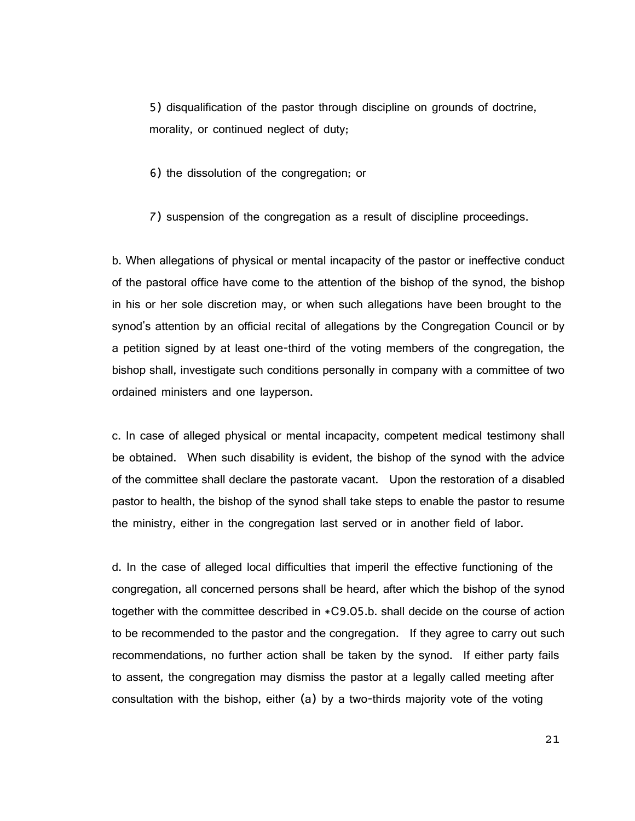5) disqualification of the pastor through discipline on grounds of doctrine, morality, or continued neglect of duty;

6) the dissolution of the congregation; or

7) suspension of the congregation as a result of discipline proceedings.

b. When allegations of physical or mental incapacity of the pastor or ineffective conduct of the pastoral office have come to the attention of the bishop of the synod, the bishop in his or her sole discretion may, or when such allegations have been brought to the synod's attention by an official recital of allegations by the Congregation Council or by a petition signed by at least one-third of the voting members of the congregation, the bishop shall, investigate such conditions personally in company with a committee of two ordained ministers and one layperson.

c. In case of alleged physical or mental incapacity, competent medical testimony shall be obtained. When such disability is evident, the bishop of the synod with the advice of the committee shall declare the pastorate vacant. Upon the restoration of a disabled pastor to health, the bishop of the synod shall take steps to enable the pastor to resume the ministry, either in the congregation last served or in another field of labor.

d. In the case of alleged local difficulties that imperil the effective functioning of the congregation, all concerned persons shall be heard, after which the bishop of the synod together with the committee described in \*C9.05.b. shall decide on the course of action to be recommended to the pastor and the congregation. If they agree to carry out such recommendations, no further action shall be taken by the synod. If either party fails to assent, the congregation may dismiss the pastor at a legally called meeting after consultation with the bishop, either (a) by a two-thirds majority vote of the voting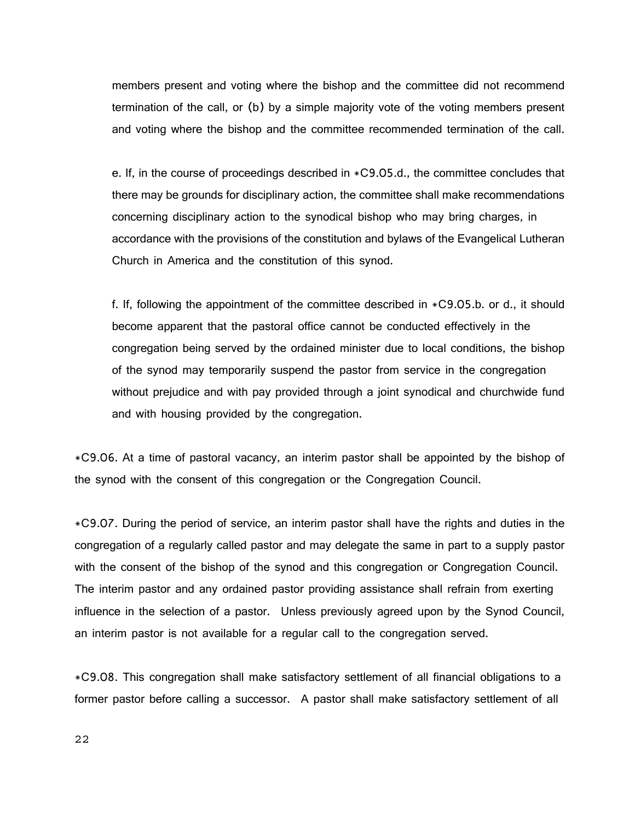members present and voting where the bishop and the committee did not recommend termination of the call, or (b) by a simple majority vote of the voting members present and voting where the bishop and the committee recommended termination of the call.

e. If, in the course of proceedings described in \*C9.05.d., the committee concludes that there may be grounds for disciplinary action, the committee shall make recommendations concerning disciplinary action to the synodical bishop who may bring charges, in accordance with the provisions of the constitution and bylaws of the Evangelical Lutheran Church in America and the constitution of this synod.

f. If, following the appointment of the committee described in \*C9.05.b. or d., it should become apparent that the pastoral office cannot be conducted effectively in the congregation being served by the ordained minister due to local conditions, the bishop of the synod may temporarily suspend the pastor from service in the congregation without prejudice and with pay provided through a joint synodical and churchwide fund and with housing provided by the congregation.

\*C9.06. At a time of pastoral vacancy, an interim pastor shall be appointed by the bishop of the synod with the consent of this congregation or the Congregation Council.

\*C9.07. During the period of service, an interim pastor shall have the rights and duties in the congregation of a regularly called pastor and may delegate the same in part to a supply pastor with the consent of the bishop of the synod and this congregation or Congregation Council. The interim pastor and any ordained pastor providing assistance shall refrain from exerting influence in the selection of a pastor. Unless previously agreed upon by the Synod Council, an interim pastor is not available for a regular call to the congregation served.

\*C9.08. This congregation shall make satisfactory settlement of all financial obligations to a former pastor before calling a successor. A pastor shall make satisfactory settlement of all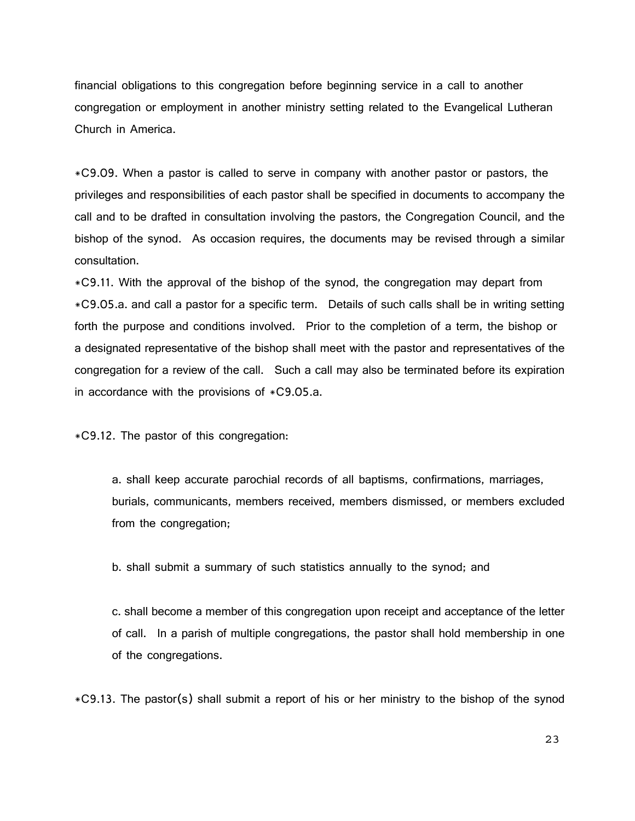financial obligations to this congregation before beginning service in a call to another congregation or employment in another ministry setting related to the Evangelical Lutheran Church in America.

\*C9.09. When a pastor is called to serve in company with another pastor or pastors, the privileges and responsibilities of each pastor shall be specified in documents to accompany the call and to be drafted in consultation involving the pastors, the Congregation Council, and the bishop of the synod. As occasion requires, the documents may be revised through a similar consultation.

\*C9.11. With the approval of the bishop of the synod, the congregation may depart from \*C9.05.a. and call a pastor for a specific term. Details of such calls shall be in writing setting forth the purpose and conditions involved. Prior to the completion of a term, the bishop or a designated representative of the bishop shall meet with the pastor and representatives of the congregation for a review of the call. Such a call may also be terminated before its expiration in accordance with the provisions of  $*C9.05.a.$ 

\*C9.12. The pastor of this congregation:

a. shall keep accurate parochial records of all baptisms, confirmations, marriages, burials, communicants, members received, members dismissed, or members excluded from the congregation;

b. shall submit a summary of such statistics annually to the synod; and

c. shall become a member of this congregation upon receipt and acceptance of the letter of call. In a parish of multiple congregations, the pastor shall hold membership in one of the congregations.

\*C9.13. The pastor(s) shall submit a report of his or her ministry to the bishop of the synod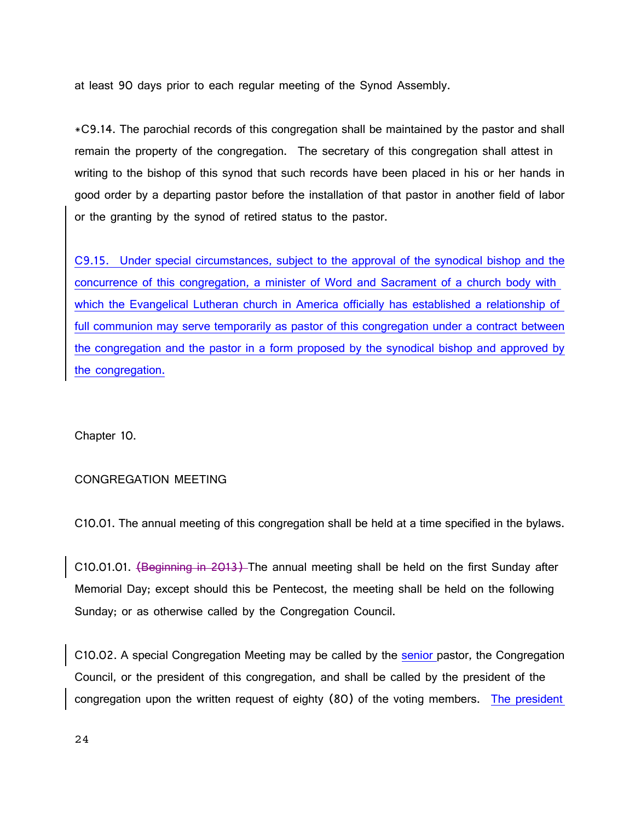at least 90 days prior to each regular meeting of the Synod Assembly.

\*C9.14. The parochial records of this congregation shall be maintained by the pastor and shall remain the property of the congregation. The secretary of this congregation shall attest in writing to the bishop of this synod that such records have been placed in his or her hands in good order by a departing pastor before the installation of that pastor in another field of labor or the granting by the synod of retired status to the pastor.

C9.15. Under special circumstances, subject to the approval of the synodical bishop and the concurrence of this congregation, a minister of Word and Sacrament of a church body with which the Evangelical Lutheran church in America officially has established a relationship of full communion may serve temporarily as pastor of this congregation under a contract between the congregation and the pastor in a form proposed by the synodical bishop and approved by the congregation.

Chapter 10.

# CONGREGATION MEETING

C10.01. The annual meeting of this congregation shall be held at a time specified in the bylaws.

C10.01.01. (Beginning in 2013) The annual meeting shall be held on the first Sunday after Memorial Day; except should this be Pentecost, the meeting shall be held on the following Sunday; or as otherwise called by the Congregation Council.

C10.02. A special Congregation Meeting may be called by the senior pastor, the Congregation Council, or the president of this congregation, and shall be called by the president of the congregation upon the written request of eighty (80) of the voting members. The president

24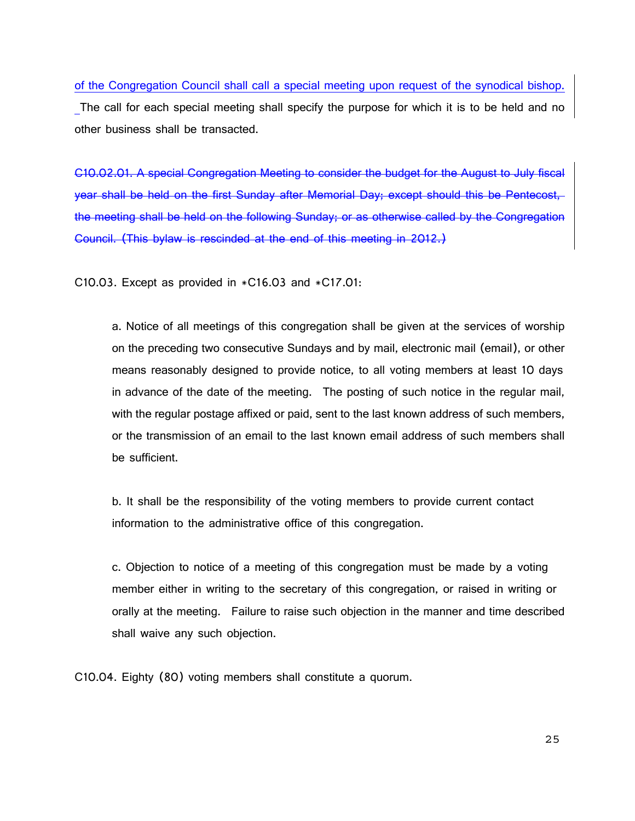of the Congregation Council shall call a special meeting upon request of the synodical bishop. The call for each special meeting shall specify the purpose for which it is to be held and no other business shall be transacted.

C10.02.01. A special Congregation Meeting to consider the budget for the August to July fiscal year shall be held on the first Sunday after Memorial Day; except should this be Pentecost, the meeting shall be held on the following Sunday; or as otherwise called by the Congregation Council. (This bylaw is rescinded at the end of this meeting in 2012.)

C10.03. Except as provided in  $*C16.03$  and  $*C17.01$ :

a. Notice of all meetings of this congregation shall be given at the services of worship on the preceding two consecutive Sundays and by mail, electronic mail (email), or other means reasonably designed to provide notice, to all voting members at least 10 days in advance of the date of the meeting. The posting of such notice in the regular mail, with the regular postage affixed or paid, sent to the last known address of such members, or the transmission of an email to the last known email address of such members shall be sufficient.

b. It shall be the responsibility of the voting members to provide current contact information to the administrative office of this congregation.

c. Objection to notice of a meeting of this congregation must be made by a voting member either in writing to the secretary of this congregation, or raised in writing or orally at the meeting. Failure to raise such objection in the manner and time described shall waive any such objection.

C10.04. Eighty (80) voting members shall constitute a quorum.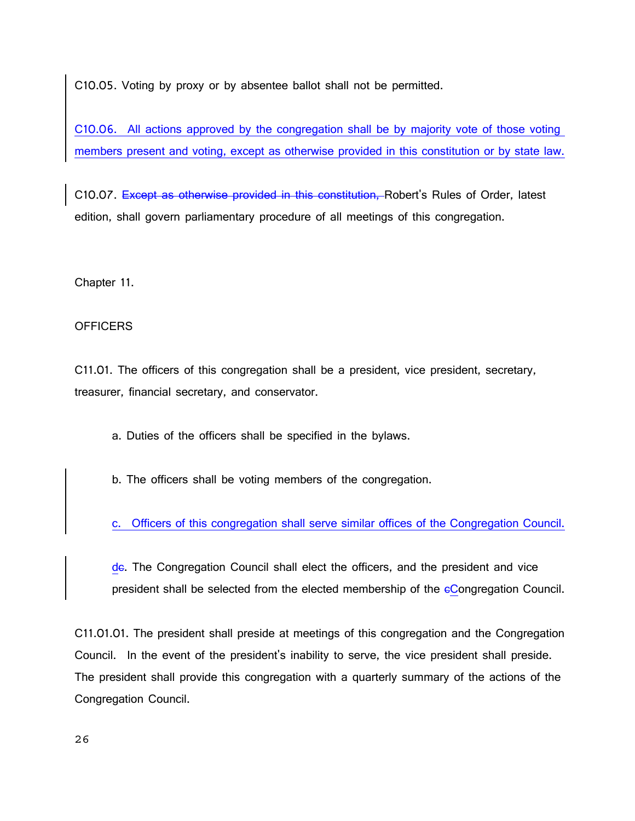C10.05. Voting by proxy or by absentee ballot shall not be permitted.

C10.06. All actions approved by the congregation shall be by majority vote of those voting members present and voting, except as otherwise provided in this constitution or by state law.

C10.07. Except as otherwise provided in this constitution, Robert's Rules of Order, latest edition, shall govern parliamentary procedure of all meetings of this congregation.

Chapter 11.

# **OFFICERS**

C11.01. The officers of this congregation shall be a president, vice president, secretary, treasurer, financial secretary, and conservator.

a. Duties of the officers shall be specified in the bylaws.

b. The officers shall be voting members of the congregation.

c. Officers of this congregation shall serve similar offices of the Congregation Council.

de. The Congregation Council shall elect the officers, and the president and vice president shall be selected from the elected membership of the cCongregation Council.

C11.01.01. The president shall preside at meetings of this congregation and the Congregation Council. In the event of the president's inability to serve, the vice president shall preside. The president shall provide this congregation with a quarterly summary of the actions of the Congregation Council.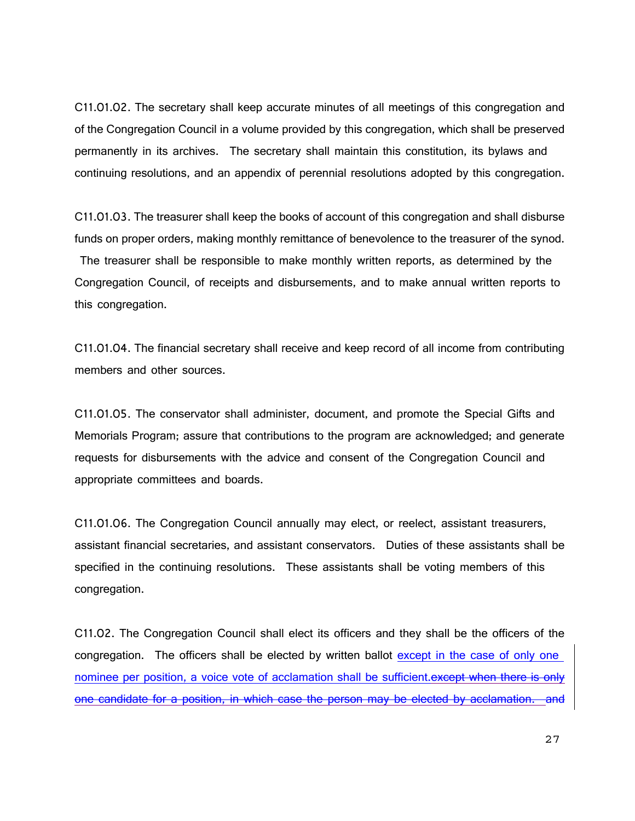C11.01.02. The secretary shall keep accurate minutes of all meetings of this congregation and of the Congregation Council in a volume provided by this congregation, which shall be preserved permanently in its archives. The secretary shall maintain this constitution, its bylaws and continuing resolutions, and an appendix of perennial resolutions adopted by this congregation.

C11.01.03. The treasurer shall keep the books of account of this congregation and shall disburse funds on proper orders, making monthly remittance of benevolence to the treasurer of the synod. The treasurer shall be responsible to make monthly written reports, as determined by the Congregation Council, of receipts and disbursements, and to make annual written reports to this congregation.

C11.01.04. The financial secretary shall receive and keep record of all income from contributing members and other sources.

C11.01.05. The conservator shall administer, document, and promote the Special Gifts and Memorials Program; assure that contributions to the program are acknowledged; and generate requests for disbursements with the advice and consent of the Congregation Council and appropriate committees and boards.

C11.01.06. The Congregation Council annually may elect, or reelect, assistant treasurers, assistant financial secretaries, and assistant conservators. Duties of these assistants shall be specified in the continuing resolutions. These assistants shall be voting members of this congregation.

C11.02. The Congregation Council shall elect its officers and they shall be the officers of the congregation. The officers shall be elected by written ballot except in the case of only one nominee per position, a voice vote of acclamation shall be sufficient.except when there is only one candidate for a position, in which case the person may be elected by acclamation. and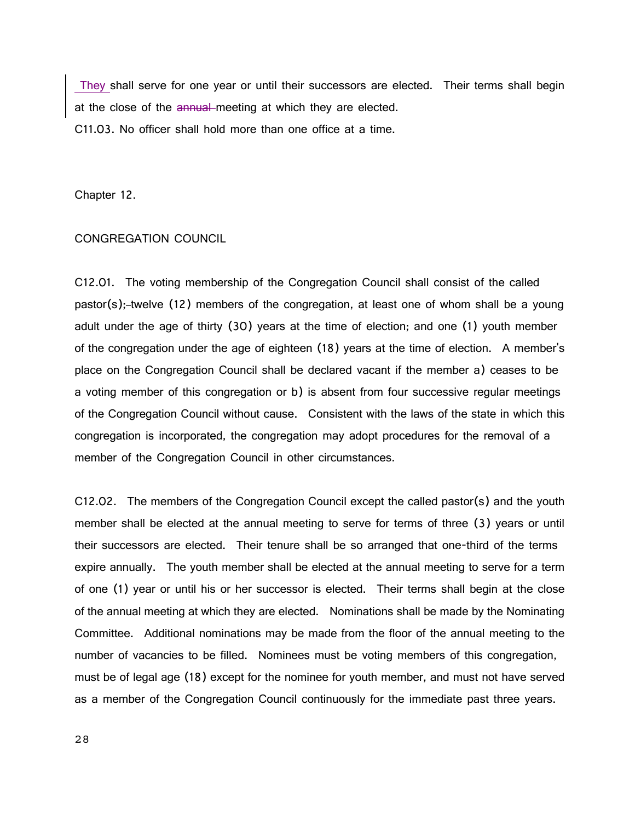They shall serve for one year or until their successors are elected. Their terms shall begin at the close of the annual meeting at which they are elected. C11.03. No officer shall hold more than one office at a time.

Chapter 12.

# CONGREGATION COUNCIL

C12.01. The voting membership of the Congregation Council shall consist of the called pastor(s);-twelve (12) members of the congregation, at least one of whom shall be a young adult under the age of thirty (30) years at the time of election; and one (1) youth member of the congregation under the age of eighteen (18) years at the time of election. A member's place on the Congregation Council shall be declared vacant if the member a) ceases to be a voting member of this congregation or b) is absent from four successive regular meetings of the Congregation Council without cause. Consistent with the laws of the state in which this congregation is incorporated, the congregation may adopt procedures for the removal of a member of the Congregation Council in other circumstances.

C12.02. The members of the Congregation Council except the called pastor(s) and the youth member shall be elected at the annual meeting to serve for terms of three (3) years or until their successors are elected. Their tenure shall be so arranged that one-third of the terms expire annually. The youth member shall be elected at the annual meeting to serve for a term of one (1) year or until his or her successor is elected. Their terms shall begin at the close of the annual meeting at which they are elected. Nominations shall be made by the Nominating Committee. Additional nominations may be made from the floor of the annual meeting to the number of vacancies to be filled. Nominees must be voting members of this congregation, must be of legal age (18) except for the nominee for youth member, and must not have served as a member of the Congregation Council continuously for the immediate past three years.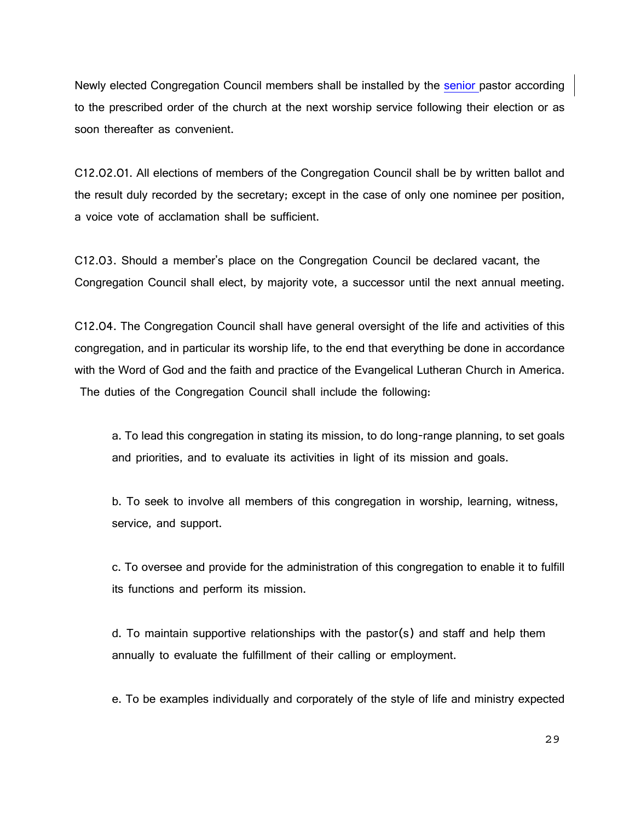Newly elected Congregation Council members shall be installed by the senior pastor according to the prescribed order of the church at the next worship service following their election or as soon thereafter as convenient.

C12.02.01. All elections of members of the Congregation Council shall be by written ballot and the result duly recorded by the secretary; except in the case of only one nominee per position, a voice vote of acclamation shall be sufficient.

C12.03. Should a member's place on the Congregation Council be declared vacant, the Congregation Council shall elect, by majority vote, a successor until the next annual meeting.

C12.04. The Congregation Council shall have general oversight of the life and activities of this congregation, and in particular its worship life, to the end that everything be done in accordance with the Word of God and the faith and practice of the Evangelical Lutheran Church in America. The duties of the Congregation Council shall include the following:

a. To lead this congregation in stating its mission, to do long-range planning, to set goals and priorities, and to evaluate its activities in light of its mission and goals.

b. To seek to involve all members of this congregation in worship, learning, witness, service, and support.

c. To oversee and provide for the administration of this congregation to enable it to fulfill its functions and perform its mission.

d. To maintain supportive relationships with the pastor(s) and staff and help them annually to evaluate the fulfillment of their calling or employment.

e. To be examples individually and corporately of the style of life and ministry expected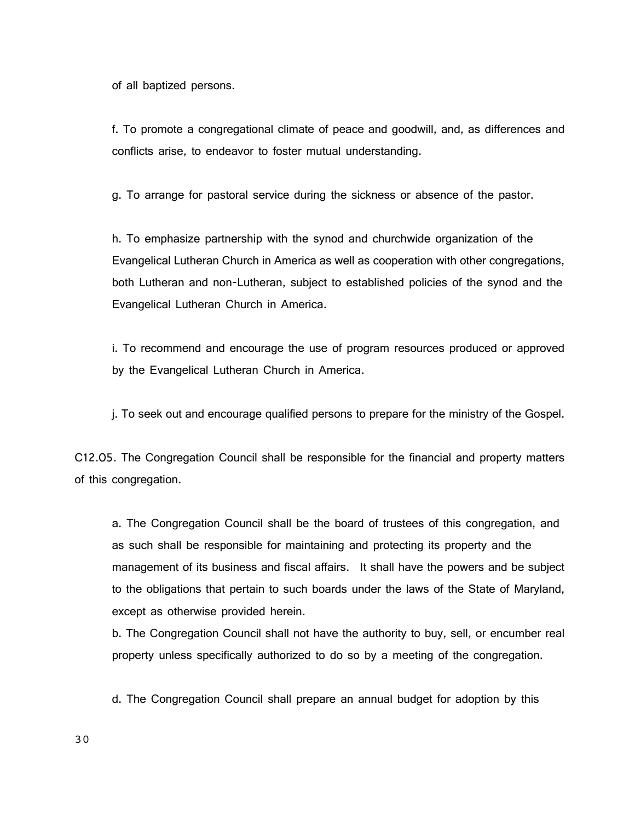of all baptized persons.

f. To promote a congregational climate of peace and goodwill, and, as differences and conflicts arise, to endeavor to foster mutual understanding.

g. To arrange for pastoral service during the sickness or absence of the pastor.

h. To emphasize partnership with the synod and churchwide organization of the Evangelical Lutheran Church in America as well as cooperation with other congregations, both Lutheran and non-Lutheran, subject to established policies of the synod and the Evangelical Lutheran Church in America.

i. To recommend and encourage the use of program resources produced or approved by the Evangelical Lutheran Church in America.

j. To seek out and encourage qualified persons to prepare for the ministry of the Gospel.

C12.05. The Congregation Council shall be responsible for the financial and property matters of this congregation.

a. The Congregation Council shall be the board of trustees of this congregation, and as such shall be responsible for maintaining and protecting its property and the management of its business and fiscal affairs. It shall have the powers and be subject to the obligations that pertain to such boards under the laws of the State of Maryland, except as otherwise provided herein.

b. The Congregation Council shall not have the authority to buy, sell, or encumber real property unless specifically authorized to do so by a meeting of the congregation.

d. The Congregation Council shall prepare an annual budget for adoption by this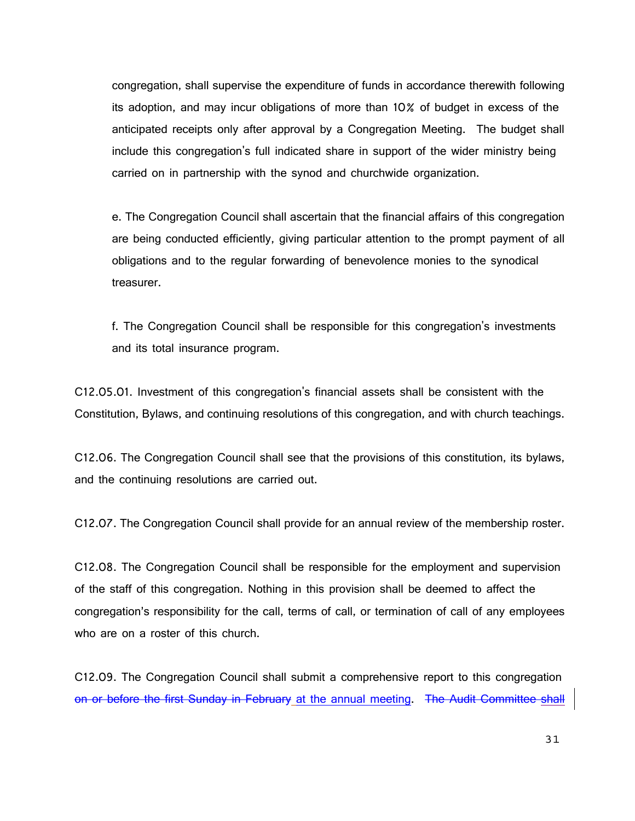congregation, shall supervise the expenditure of funds in accordance therewith following its adoption, and may incur obligations of more than 10% of budget in excess of the anticipated receipts only after approval by a Congregation Meeting. The budget shall include this congregation's full indicated share in support of the wider ministry being carried on in partnership with the synod and churchwide organization.

e. The Congregation Council shall ascertain that the financial affairs of this congregation are being conducted efficiently, giving particular attention to the prompt payment of all obligations and to the regular forwarding of benevolence monies to the synodical treasurer.

f. The Congregation Council shall be responsible for this congregation's investments and its total insurance program.

C12.05.01. Investment of this congregation's financial assets shall be consistent with the Constitution, Bylaws, and continuing resolutions of this congregation, and with church teachings.

C12.06. The Congregation Council shall see that the provisions of this constitution, its bylaws, and the continuing resolutions are carried out.

C12.07. The Congregation Council shall provide for an annual review of the membership roster.

C12.08. The Congregation Council shall be responsible for the employment and supervision of the staff of this congregation. Nothing in this provision shall be deemed to affect the congregation's responsibility for the call, terms of call, or termination of call of any employees who are on a roster of this church.

C12.09. The Congregation Council shall submit a comprehensive report to this congregation on or before the first Sunday in February at the annual meeting. The Audit Committee shall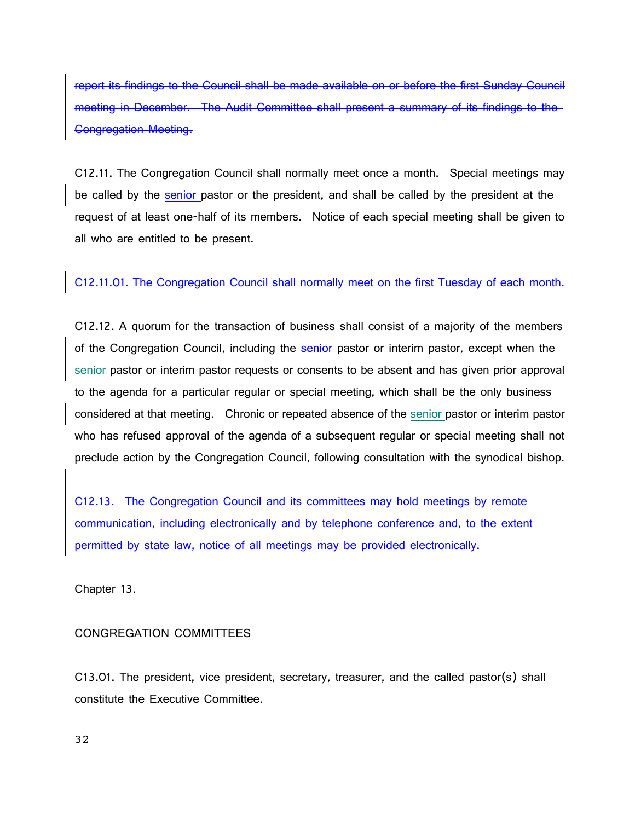report its findings to the Council shall be made available on or before the first Sunday Council meeting in December. The Audit Committee shall present a summary of its findings to the Congregation Meeting.

C12.11. The Congregation Council shall normally meet once a month. Special meetings may be called by the senior pastor or the president, and shall be called by the president at the request of at least one-half of its members. Notice of each special meeting shall be given to all who are entitled to be present.

C12.11.01. The Congregation Council shall normally meet on the first Tuesday of each month.

C12.12. A quorum for the transaction of business shall consist of a majority of the members of the Congregation Council, including the senior pastor or interim pastor, except when the senior pastor or interim pastor requests or consents to be absent and has given prior approval to the agenda for a particular regular or special meeting, which shall be the only business considered at that meeting. Chronic or repeated absence of the senior pastor or interim pastor who has refused approval of the agenda of a subsequent regular or special meeting shall not preclude action by the Congregation Council, following consultation with the synodical bishop.

C12.13. The Congregation Council and its committees may hold meetings by remote communication, including electronically and by telephone conference and, to the extent permitted by state law, notice of all meetings may be provided electronically.

Chapter 13.

CONGREGATION COMMITTEES

C13.01. The president, vice president, secretary, treasurer, and the called pastor(s) shall constitute the Executive Committee.

32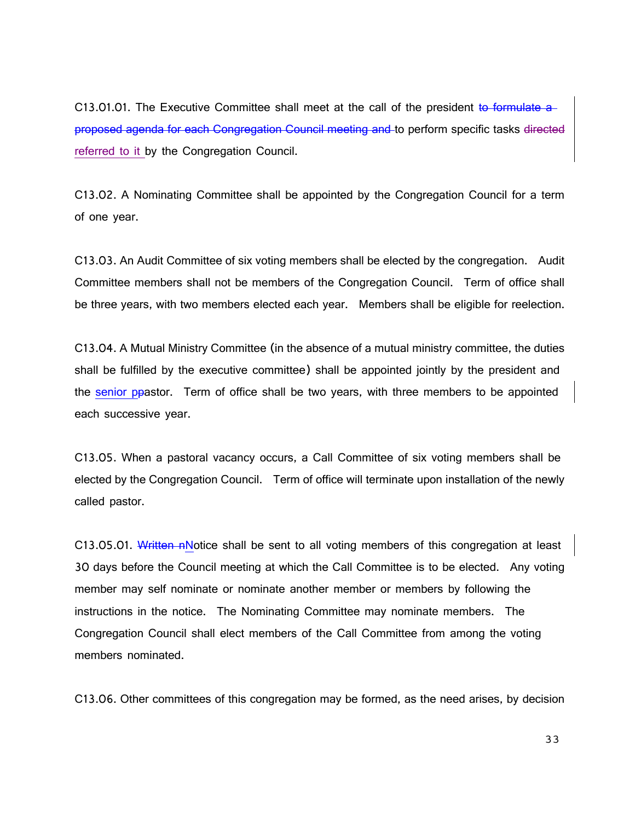C13.01.01. The Executive Committee shall meet at the call of the president to formulate a proposed agenda for each Congregation Council meeting and to perform specific tasks directed referred to it by the Congregation Council.

C13.02. A Nominating Committee shall be appointed by the Congregation Council for a term of one year.

C13.03. An Audit Committee of six voting members shall be elected by the congregation. Audit Committee members shall not be members of the Congregation Council. Term of office shall be three years, with two members elected each year. Members shall be eligible for reelection.

C13.04. A Mutual Ministry Committee (in the absence of a mutual ministry committee, the duties shall be fulfilled by the executive committee) shall be appointed jointly by the president and the senior ppastor. Term of office shall be two years, with three members to be appointed each successive year.

C13.05. When a pastoral vacancy occurs, a Call Committee of six voting members shall be elected by the Congregation Council. Term of office will terminate upon installation of the newly called pastor.

C13.05.01. Written nNotice shall be sent to all voting members of this congregation at least 30 days before the Council meeting at which the Call Committee is to be elected. Any voting member may self nominate or nominate another member or members by following the instructions in the notice. The Nominating Committee may nominate members. The Congregation Council shall elect members of the Call Committee from among the voting members nominated.

C13.06. Other committees of this congregation may be formed, as the need arises, by decision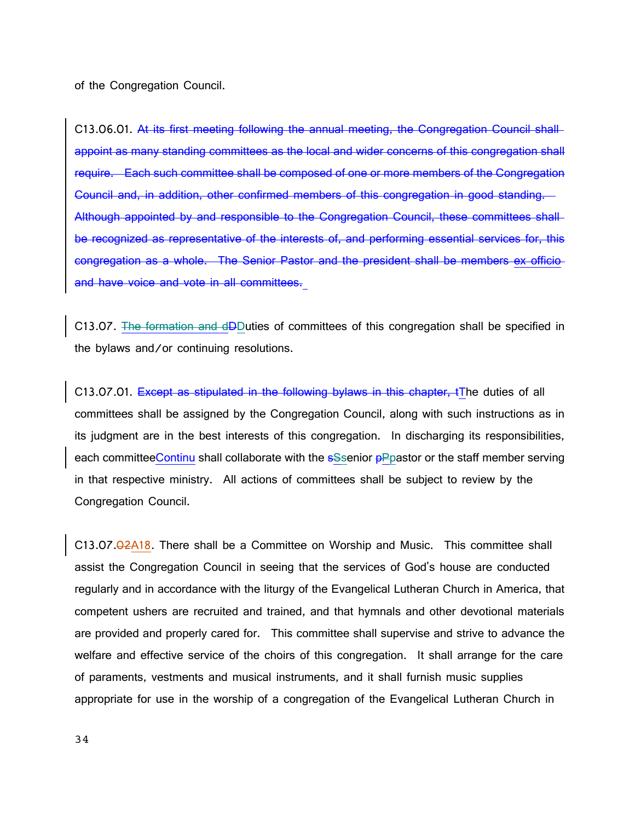of the Congregation Council.

C13.06.01. At its first meeting following the annual meeting, the Congregation Council shall appoint as many standing committees as the local and wider concerns of this congregation shall require. Each such committee shall be composed of one or more members of the Congregation Council and, in addition, other confirmed members of this congregation in good standing. Although appointed by and responsible to the Congregation Council, these committees shall be recognized as representative of the interests of, and performing essential services for, this congregation as a whole. The Senior Pastor and the president shall be members ex officio and have voice and vote in all committees.

C13.07. The formation and dDDuties of committees of this congregation shall be specified in the bylaws and/or continuing resolutions.

C13.07.01. Except as stipulated in the following bylaws in this chapter, tThe duties of all committees shall be assigned by the Congregation Council, along with such instructions as in its judgment are in the best interests of this congregation. In discharging its responsibilities, each committeeContinu shall collaborate with the eSsenior **pPpastor** or the staff member serving in that respective ministry. All actions of committees shall be subject to review by the Congregation Council.

C13.07.02A18. There shall be a Committee on Worship and Music. This committee shall assist the Congregation Council in seeing that the services of God's house are conducted regularly and in accordance with the liturgy of the Evangelical Lutheran Church in America, that competent ushers are recruited and trained, and that hymnals and other devotional materials are provided and properly cared for. This committee shall supervise and strive to advance the welfare and effective service of the choirs of this congregation. It shall arrange for the care of paraments, vestments and musical instruments, and it shall furnish music supplies appropriate for use in the worship of a congregation of the Evangelical Lutheran Church in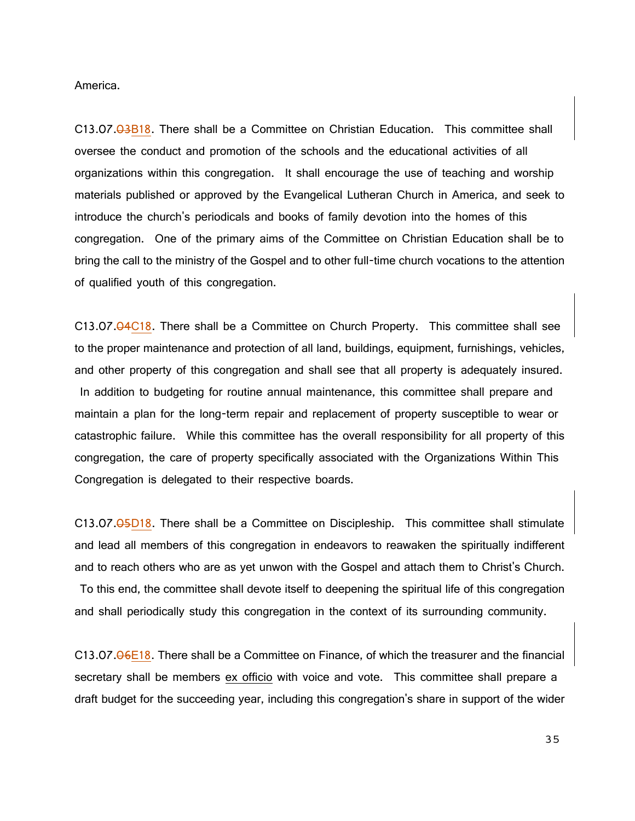America.

C13.07.03B18. There shall be a Committee on Christian Education. This committee shall oversee the conduct and promotion of the schools and the educational activities of all organizations within this congregation. It shall encourage the use of teaching and worship materials published or approved by the Evangelical Lutheran Church in America, and seek to introduce the church's periodicals and books of family devotion into the homes of this congregation. One of the primary aims of the Committee on Christian Education shall be to bring the call to the ministry of the Gospel and to other full-time church vocations to the attention of qualified youth of this congregation.

C13.07.04C18. There shall be a Committee on Church Property. This committee shall see to the proper maintenance and protection of all land, buildings, equipment, furnishings, vehicles, and other property of this congregation and shall see that all property is adequately insured. In addition to budgeting for routine annual maintenance, this committee shall prepare and maintain a plan for the long-term repair and replacement of property susceptible to wear or catastrophic failure. While this committee has the overall responsibility for all property of this congregation, the care of property specifically associated with the Organizations Within This Congregation is delegated to their respective boards.

C13.07.05D18. There shall be a Committee on Discipleship. This committee shall stimulate and lead all members of this congregation in endeavors to reawaken the spiritually indifferent and to reach others who are as yet unwon with the Gospel and attach them to Christ's Church. To this end, the committee shall devote itself to deepening the spiritual life of this congregation and shall periodically study this congregation in the context of its surrounding community.

C13.07.06E18. There shall be a Committee on Finance, of which the treasurer and the financial secretary shall be members ex officio with voice and vote. This committee shall prepare a draft budget for the succeeding year, including this congregation's share in support of the wider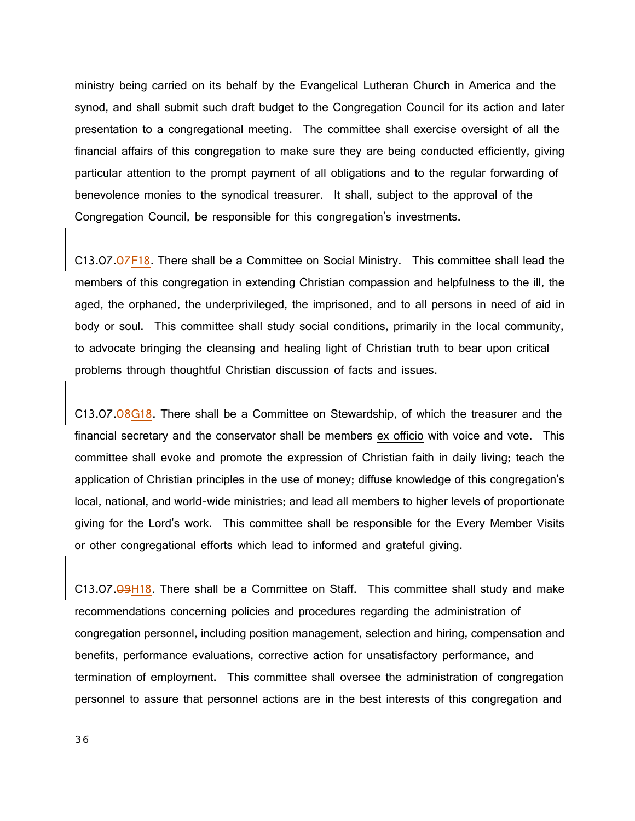ministry being carried on its behalf by the Evangelical Lutheran Church in America and the synod, and shall submit such draft budget to the Congregation Council for its action and later presentation to a congregational meeting. The committee shall exercise oversight of all the financial affairs of this congregation to make sure they are being conducted efficiently, giving particular attention to the prompt payment of all obligations and to the regular forwarding of benevolence monies to the synodical treasurer. It shall, subject to the approval of the Congregation Council, be responsible for this congregation's investments.

C13.07.07F18. There shall be a Committee on Social Ministry. This committee shall lead the members of this congregation in extending Christian compassion and helpfulness to the ill, the aged, the orphaned, the underprivileged, the imprisoned, and to all persons in need of aid in body or soul. This committee shall study social conditions, primarily in the local community, to advocate bringing the cleansing and healing light of Christian truth to bear upon critical problems through thoughtful Christian discussion of facts and issues.

C13.07.08G18. There shall be a Committee on Stewardship, of which the treasurer and the financial secretary and the conservator shall be members ex officio with voice and vote. This committee shall evoke and promote the expression of Christian faith in daily living; teach the application of Christian principles in the use of money; diffuse knowledge of this congregation's local, national, and world-wide ministries; and lead all members to higher levels of proportionate giving for the Lord's work. This committee shall be responsible for the Every Member Visits or other congregational efforts which lead to informed and grateful giving.

C13.07.09H18. There shall be a Committee on Staff. This committee shall study and make recommendations concerning policies and procedures regarding the administration of congregation personnel, including position management, selection and hiring, compensation and benefits, performance evaluations, corrective action for unsatisfactory performance, and termination of employment. This committee shall oversee the administration of congregation personnel to assure that personnel actions are in the best interests of this congregation and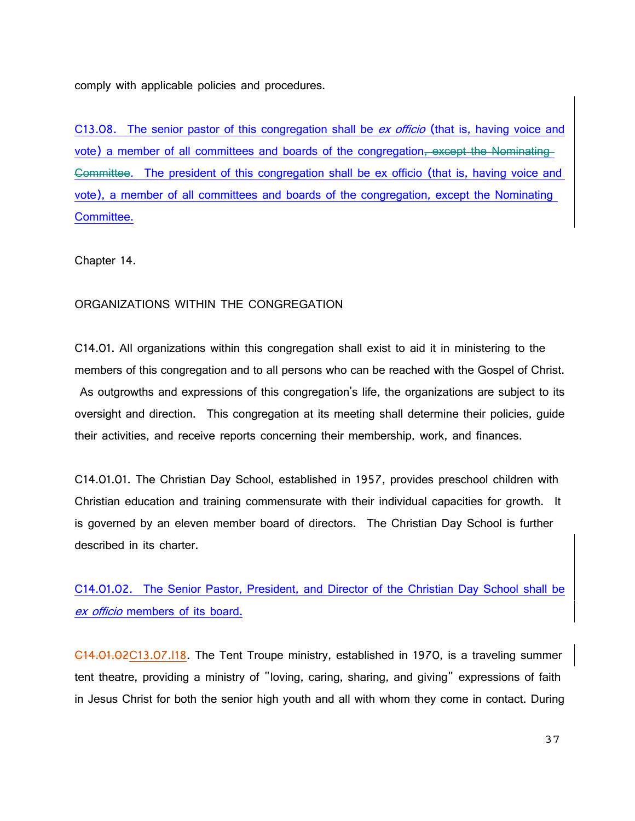comply with applicable policies and procedures.

C13.08. The senior pastor of this congregation shall be ex officio (that is, having voice and vote) a member of all committees and boards of the congregation, except the Nominating Committee. The president of this congregation shall be ex officio (that is, having voice and vote), a member of all committees and boards of the congregation, except the Nominating Committee.

Chapter 14.

# ORGANIZATIONS WITHIN THE CONGREGATION

C14.01. All organizations within this congregation shall exist to aid it in ministering to the members of this congregation and to all persons who can be reached with the Gospel of Christ. As outgrowths and expressions of this congregation's life, the organizations are subject to its oversight and direction. This congregation at its meeting shall determine their policies, guide their activities, and receive reports concerning their membership, work, and finances.

C14.01.01. The Christian Day School, established in 1957, provides preschool children with Christian education and training commensurate with their individual capacities for growth. It is governed by an eleven member board of directors. The Christian Day School is further described in its charter.

C14.01.02. The Senior Pastor, President, and Director of the Christian Day School shall be ex officio members of its board.

C14.01.02C13.07.I18. The Tent Troupe ministry, established in 1970, is a traveling summer tent theatre, providing a ministry of "loving, caring, sharing, and giving" expressions of faith in Jesus Christ for both the senior high youth and all with whom they come in contact. During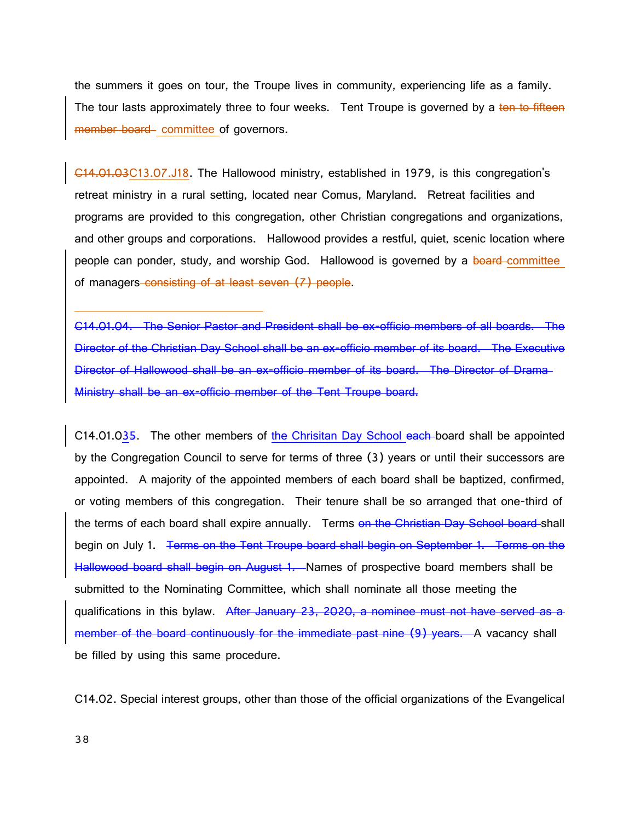the summers it goes on tour, the Troupe lives in community, experiencing life as a family. The tour lasts approximately three to four weeks. Tent Troupe is governed by a ten to fifteen member board committee of governors.

C14.01.03C13.07.J18. The Hallowood ministry, established in 1979, is this congregation's retreat ministry in a rural setting, located near Comus, Maryland. Retreat facilities and programs are provided to this congregation, other Christian congregations and organizations, and other groups and corporations. Hallowood provides a restful, quiet, scenic location where people can ponder, study, and worship God. Hallowood is governed by a board-committee of managers consisting of at least seven (7) people.

C14.01.04. The Senior Pastor and President shall be ex-officio members of all boards. The Director of the Christian Day School shall be an ex-officio member of its board. The Executive Director of Hallowood shall be an ex-officio member of its board. The Director of Drama Ministry shall be an ex-officio member of the Tent Troupe board.

C14.01.035. The other members of the Chrisitan Day School each board shall be appointed by the Congregation Council to serve for terms of three (3) years or until their successors are appointed. A majority of the appointed members of each board shall be baptized, confirmed, or voting members of this congregation. Their tenure shall be so arranged that one-third of the terms of each board shall expire annually. Terms on the Christian Day School board shall begin on July 1. <del>Terms on the Tent Troupe board shall begin on September 1. Terms on the</del> Hallowood board shall begin on August 1. Names of prospective board members shall be submitted to the Nominating Committee, which shall nominate all those meeting the qualifications in this bylaw. After January 23, 2020, a nominee must not have served as a member of the board continuously for the immediate past nine (9) years. A vacancy shall be filled by using this same procedure.

C14.02. Special interest groups, other than those of the official organizations of the Evangelical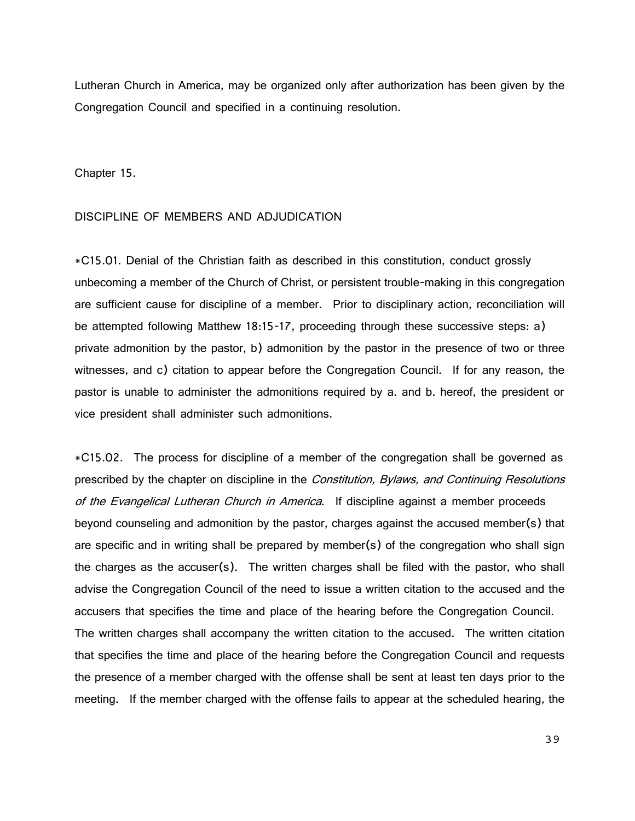Lutheran Church in America, may be organized only after authorization has been given by the Congregation Council and specified in a continuing resolution.

Chapter 15.

## DISCIPLINE OF MEMBERS AND ADJUDICATION

\*C15.01. Denial of the Christian faith as described in this constitution, conduct grossly unbecoming a member of the Church of Christ, or persistent trouble-making in this congregation are sufficient cause for discipline of a member. Prior to disciplinary action, reconciliation will be attempted following Matthew 18:15-17, proceeding through these successive steps: a) private admonition by the pastor, b) admonition by the pastor in the presence of two or three witnesses, and c) citation to appear before the Congregation Council. If for any reason, the pastor is unable to administer the admonitions required by a. and b. hereof, the president or vice president shall administer such admonitions.

\*C15.02. The process for discipline of a member of the congregation shall be governed as prescribed by the chapter on discipline in the *Constitution, Bylaws, and Continuing Resolutions* of the Evangelical Lutheran Church in America. If discipline against a member proceeds beyond counseling and admonition by the pastor, charges against the accused member(s) that are specific and in writing shall be prepared by member(s) of the congregation who shall sign the charges as the accuser(s). The written charges shall be filed with the pastor, who shall advise the Congregation Council of the need to issue a written citation to the accused and the accusers that specifies the time and place of the hearing before the Congregation Council. The written charges shall accompany the written citation to the accused. The written citation that specifies the time and place of the hearing before the Congregation Council and requests the presence of a member charged with the offense shall be sent at least ten days prior to the meeting. If the member charged with the offense fails to appear at the scheduled hearing, the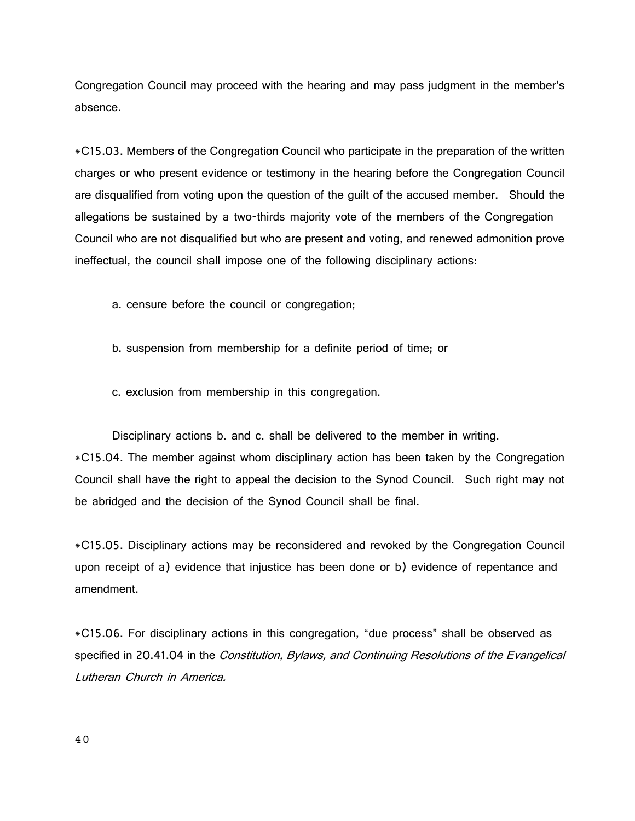Congregation Council may proceed with the hearing and may pass judgment in the member's absence.

\*C15.03. Members of the Congregation Council who participate in the preparation of the written charges or who present evidence or testimony in the hearing before the Congregation Council are disqualified from voting upon the question of the guilt of the accused member. Should the allegations be sustained by a two-thirds majority vote of the members of the Congregation Council who are not disqualified but who are present and voting, and renewed admonition prove ineffectual, the council shall impose one of the following disciplinary actions:

- a. censure before the council or congregation;
- b. suspension from membership for a definite period of time; or
- c. exclusion from membership in this congregation.

Disciplinary actions b. and c. shall be delivered to the member in writing. \*C15.04. The member against whom disciplinary action has been taken by the Congregation Council shall have the right to appeal the decision to the Synod Council. Such right may not be abridged and the decision of the Synod Council shall be final.

\*C15.05. Disciplinary actions may be reconsidered and revoked by the Congregation Council upon receipt of a) evidence that injustice has been done or b) evidence of repentance and amendment.

\*C15.06. For disciplinary actions in this congregation, "due process" shall be observed as specified in 20.41.04 in the Constitution, Bylaws, and Continuing Resolutions of the Evangelical Lutheran Church in America.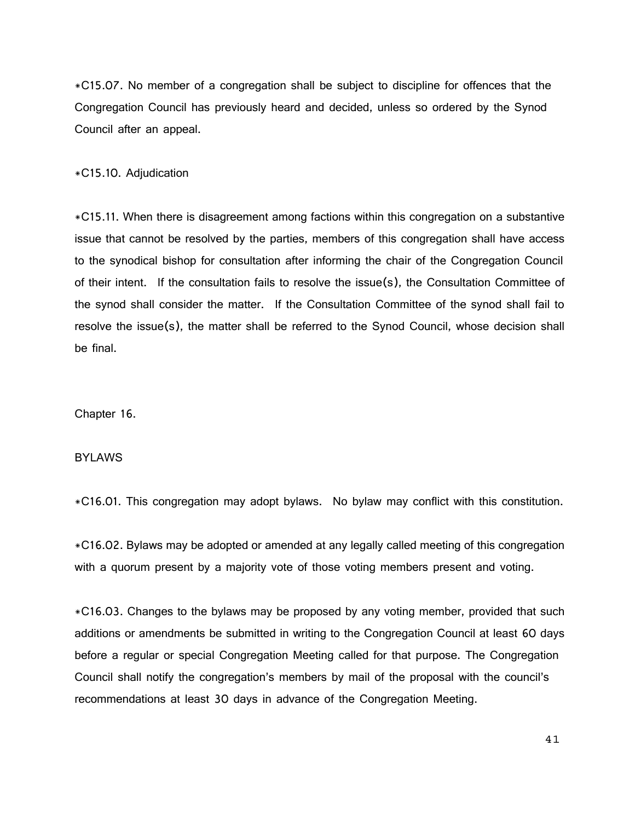\*C15.07. No member of a congregation shall be subject to discipline for offences that the Congregation Council has previously heard and decided, unless so ordered by the Synod Council after an appeal.

\*C15.10. Adjudication

\*C15.11. When there is disagreement among factions within this congregation on a substantive issue that cannot be resolved by the parties, members of this congregation shall have access to the synodical bishop for consultation after informing the chair of the Congregation Council of their intent. If the consultation fails to resolve the issue(s), the Consultation Committee of the synod shall consider the matter. If the Consultation Committee of the synod shall fail to resolve the issue(s), the matter shall be referred to the Synod Council, whose decision shall be final.

Chapter 16.

# **BYLAWS**

\*C16.01. This congregation may adopt bylaws. No bylaw may conflict with this constitution.

\*C16.02. Bylaws may be adopted or amended at any legally called meeting of this congregation with a quorum present by a majority vote of those voting members present and voting.

\*C16.03. Changes to the bylaws may be proposed by any voting member, provided that such additions or amendments be submitted in writing to the Congregation Council at least 60 days before a regular or special Congregation Meeting called for that purpose. The Congregation Council shall notify the congregation's members by mail of the proposal with the council's recommendations at least 30 days in advance of the Congregation Meeting.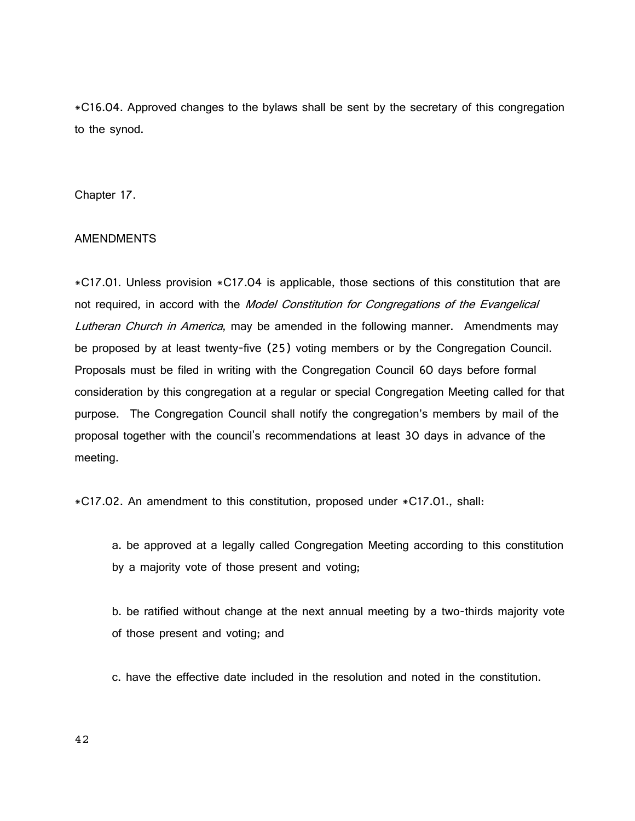\*C16.04. Approved changes to the bylaws shall be sent by the secretary of this congregation to the synod.

Chapter 17.

# AMENDMENTS

\*C17.01. Unless provision \*C17.04 is applicable, those sections of this constitution that are not required, in accord with the Model Constitution for Congregations of the Evangelical Lutheran Church in America, may be amended in the following manner. Amendments may be proposed by at least twenty-five (25) voting members or by the Congregation Council. Proposals must be filed in writing with the Congregation Council 60 days before formal consideration by this congregation at a regular or special Congregation Meeting called for that purpose. The Congregation Council shall notify the congregation's members by mail of the proposal together with the council's recommendations at least 30 days in advance of the meeting.

\*C17.02. An amendment to this constitution, proposed under \*C17.01., shall:

a. be approved at a legally called Congregation Meeting according to this constitution by a majority vote of those present and voting;

b. be ratified without change at the next annual meeting by a two-thirds majority vote of those present and voting; and

c. have the effective date included in the resolution and noted in the constitution.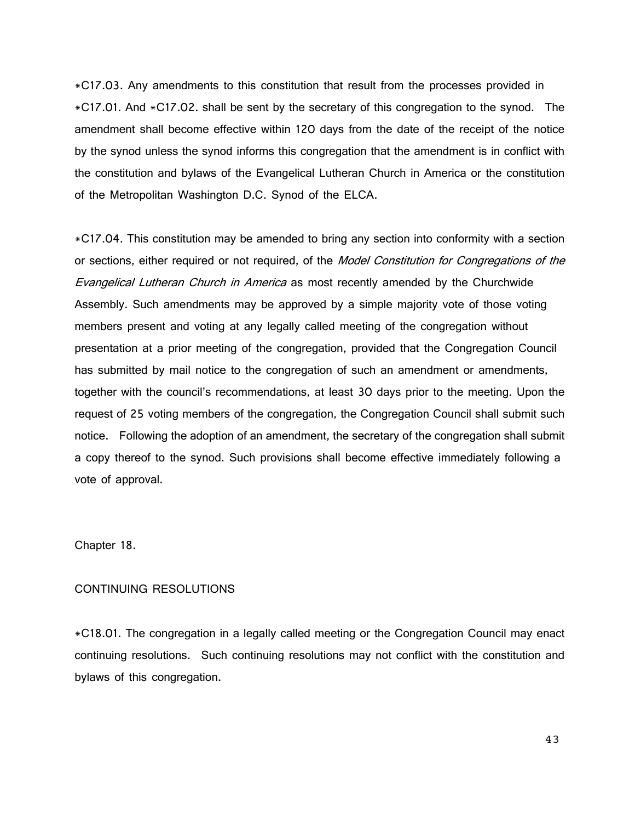\*C17.03. Any amendments to this constitution that result from the processes provided in \*C17.01. And \*C17.02. shall be sent by the secretary of this congregation to the synod. The amendment shall become effective within 120 days from the date of the receipt of the notice by the synod unless the synod informs this congregation that the amendment is in conflict with the constitution and bylaws of the Evangelical Lutheran Church in America or the constitution of the Metropolitan Washington D.C. Synod of the ELCA.

\*C17.04. This constitution may be amended to bring any section into conformity with a section or sections, either required or not required, of the Model Constitution for Congregations of the **Evangelical Lutheran Church in America as most recently amended by the Churchwide** Assembly. Such amendments may be approved by a simple majority vote of those voting members present and voting at any legally called meeting of the congregation without presentation at a prior meeting of the congregation, provided that the Congregation Council has submitted by mail notice to the congregation of such an amendment or amendments, together with the council's recommendations, at least 30 days prior to the meeting. Upon the request of 25 voting members of the congregation, the Congregation Council shall submit such notice. Following the adoption of an amendment, the secretary of the congregation shall submit a copy thereof to the synod. Such provisions shall become effective immediately following a vote of approval.

Chapter 18.

# CONTINUING RESOLUTIONS

\*C18.01. The congregation in a legally called meeting or the Congregation Council may enact continuing resolutions. Such continuing resolutions may not conflict with the constitution and bylaws of this congregation.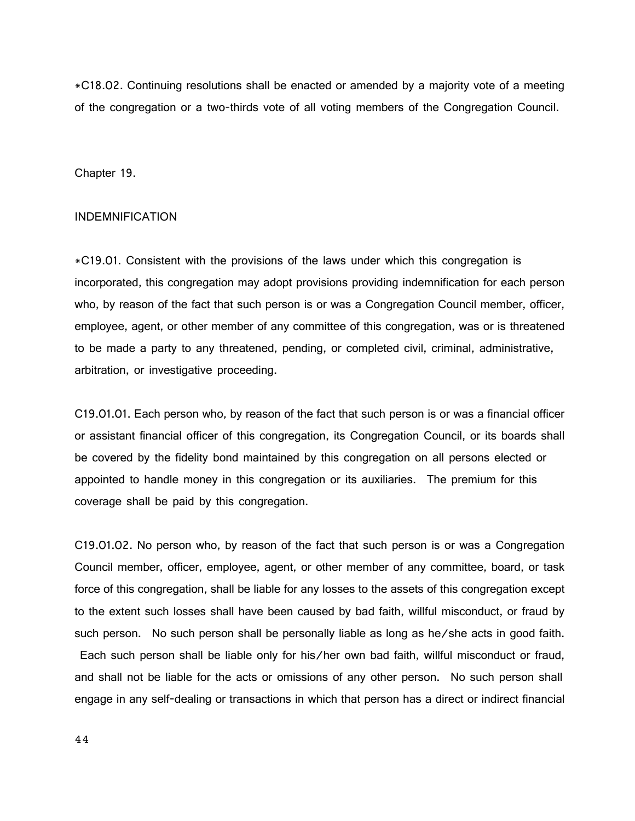\*C18.02. Continuing resolutions shall be enacted or amended by a majority vote of a meeting of the congregation or a two-thirds vote of all voting members of the Congregation Council.

Chapter 19.

## INDEMNIFICATION

\*C19.01. Consistent with the provisions of the laws under which this congregation is incorporated, this congregation may adopt provisions providing indemnification for each person who, by reason of the fact that such person is or was a Congregation Council member, officer, employee, agent, or other member of any committee of this congregation, was or is threatened to be made a party to any threatened, pending, or completed civil, criminal, administrative, arbitration, or investigative proceeding.

C19.01.01. Each person who, by reason of the fact that such person is or was a financial officer or assistant financial officer of this congregation, its Congregation Council, or its boards shall be covered by the fidelity bond maintained by this congregation on all persons elected or appointed to handle money in this congregation or its auxiliaries. The premium for this coverage shall be paid by this congregation.

C19.01.02. No person who, by reason of the fact that such person is or was a Congregation Council member, officer, employee, agent, or other member of any committee, board, or task force of this congregation, shall be liable for any losses to the assets of this congregation except to the extent such losses shall have been caused by bad faith, willful misconduct, or fraud by such person. No such person shall be personally liable as long as he/she acts in good faith. Each such person shall be liable only for his/her own bad faith, willful misconduct or fraud, and shall not be liable for the acts or omissions of any other person. No such person shall engage in any self-dealing or transactions in which that person has a direct or indirect financial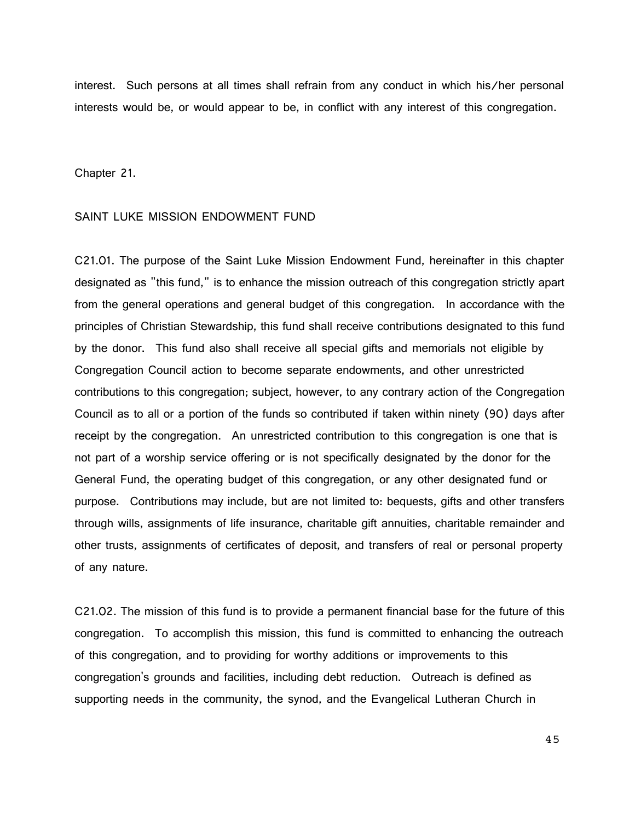interest. Such persons at all times shall refrain from any conduct in which his/her personal interests would be, or would appear to be, in conflict with any interest of this congregation.

Chapter 21.

#### SAINT LUKE MISSION ENDOWMENT FUND

C21.01. The purpose of the Saint Luke Mission Endowment Fund, hereinafter in this chapter designated as "this fund," is to enhance the mission outreach of this congregation strictly apart from the general operations and general budget of this congregation. In accordance with the principles of Christian Stewardship, this fund shall receive contributions designated to this fund by the donor. This fund also shall receive all special gifts and memorials not eligible by Congregation Council action to become separate endowments, and other unrestricted contributions to this congregation; subject, however, to any contrary action of the Congregation Council as to all or a portion of the funds so contributed if taken within ninety (90) days after receipt by the congregation. An unrestricted contribution to this congregation is one that is not part of a worship service offering or is not specifically designated by the donor for the General Fund, the operating budget of this congregation, or any other designated fund or purpose. Contributions may include, but are not limited to: bequests, gifts and other transfers through wills, assignments of life insurance, charitable gift annuities, charitable remainder and other trusts, assignments of certificates of deposit, and transfers of real or personal property of any nature.

C21.02. The mission of this fund is to provide a permanent financial base for the future of this congregation. To accomplish this mission, this fund is committed to enhancing the outreach of this congregation, and to providing for worthy additions or improvements to this congregation's grounds and facilities, including debt reduction. Outreach is defined as supporting needs in the community, the synod, and the Evangelical Lutheran Church in

45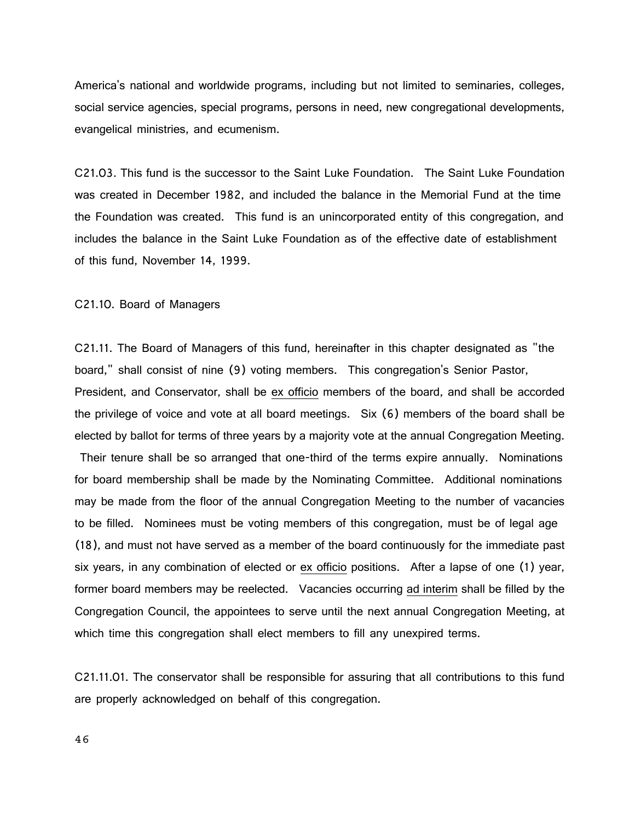America's national and worldwide programs, including but not limited to seminaries, colleges, social service agencies, special programs, persons in need, new congregational developments, evangelical ministries, and ecumenism.

C21.03. This fund is the successor to the Saint Luke Foundation. The Saint Luke Foundation was created in December 1982, and included the balance in the Memorial Fund at the time the Foundation was created. This fund is an unincorporated entity of this congregation, and includes the balance in the Saint Luke Foundation as of the effective date of establishment of this fund, November 14, 1999.

#### C21.10. Board of Managers

C21.11. The Board of Managers of this fund, hereinafter in this chapter designated as "the board," shall consist of nine (9) voting members. This congregation's Senior Pastor, President, and Conservator, shall be ex officio members of the board, and shall be accorded the privilege of voice and vote at all board meetings. Six (6) members of the board shall be elected by ballot for terms of three years by a majority vote at the annual Congregation Meeting.

Their tenure shall be so arranged that one-third of the terms expire annually. Nominations for board membership shall be made by the Nominating Committee. Additional nominations may be made from the floor of the annual Congregation Meeting to the number of vacancies to be filled. Nominees must be voting members of this congregation, must be of legal age (18), and must not have served as a member of the board continuously for the immediate past six years, in any combination of elected or ex officio positions. After a lapse of one (1) year, former board members may be reelected. Vacancies occurring ad interim shall be filled by the Congregation Council, the appointees to serve until the next annual Congregation Meeting, at which time this congregation shall elect members to fill any unexpired terms.

C21.11.01. The conservator shall be responsible for assuring that all contributions to this fund are properly acknowledged on behalf of this congregation.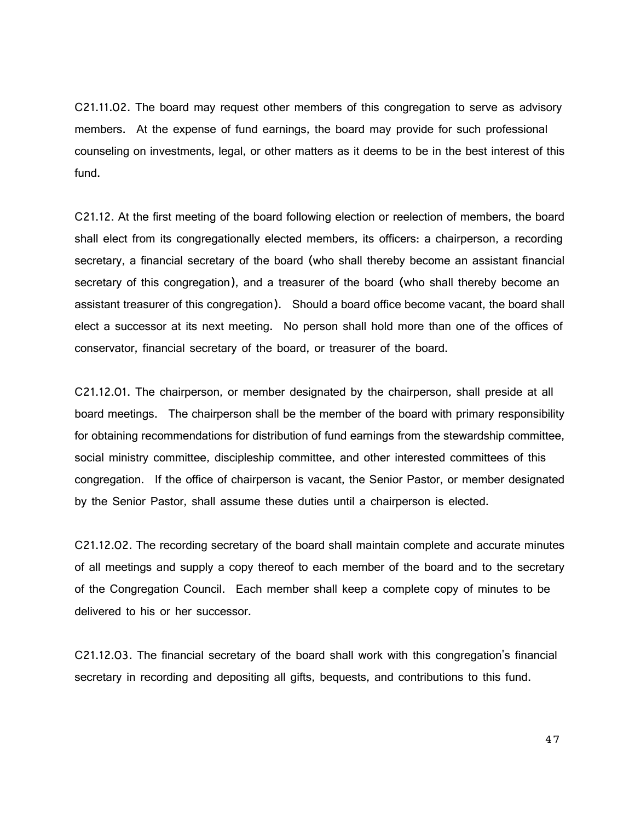C21.11.02. The board may request other members of this congregation to serve as advisory members. At the expense of fund earnings, the board may provide for such professional counseling on investments, legal, or other matters as it deems to be in the best interest of this fund.

C21.12. At the first meeting of the board following election or reelection of members, the board shall elect from its congregationally elected members, its officers: a chairperson, a recording secretary, a financial secretary of the board (who shall thereby become an assistant financial secretary of this congregation), and a treasurer of the board (who shall thereby become an assistant treasurer of this congregation). Should a board office become vacant, the board shall elect a successor at its next meeting. No person shall hold more than one of the offices of conservator, financial secretary of the board, or treasurer of the board.

C21.12.01. The chairperson, or member designated by the chairperson, shall preside at all board meetings. The chairperson shall be the member of the board with primary responsibility for obtaining recommendations for distribution of fund earnings from the stewardship committee, social ministry committee, discipleship committee, and other interested committees of this congregation. If the office of chairperson is vacant, the Senior Pastor, or member designated by the Senior Pastor, shall assume these duties until a chairperson is elected.

C21.12.02. The recording secretary of the board shall maintain complete and accurate minutes of all meetings and supply a copy thereof to each member of the board and to the secretary of the Congregation Council. Each member shall keep a complete copy of minutes to be delivered to his or her successor.

C21.12.03. The financial secretary of the board shall work with this congregation's financial secretary in recording and depositing all gifts, bequests, and contributions to this fund.

47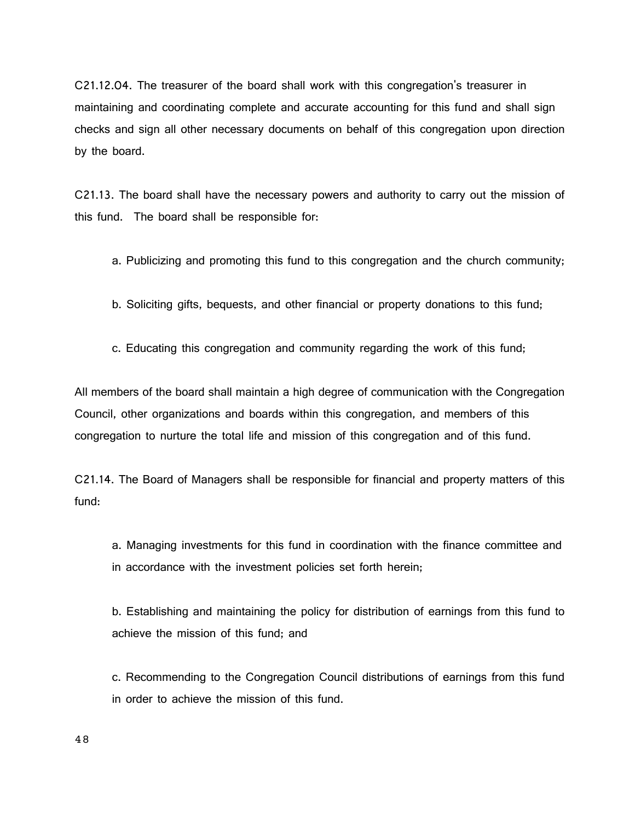C21.12.04. The treasurer of the board shall work with this congregation's treasurer in maintaining and coordinating complete and accurate accounting for this fund and shall sign checks and sign all other necessary documents on behalf of this congregation upon direction by the board.

C21.13. The board shall have the necessary powers and authority to carry out the mission of this fund. The board shall be responsible for:

- a. Publicizing and promoting this fund to this congregation and the church community;
- b. Soliciting gifts, bequests, and other financial or property donations to this fund;
- c. Educating this congregation and community regarding the work of this fund;

All members of the board shall maintain a high degree of communication with the Congregation Council, other organizations and boards within this congregation, and members of this congregation to nurture the total life and mission of this congregation and of this fund.

C21.14. The Board of Managers shall be responsible for financial and property matters of this fund:

a. Managing investments for this fund in coordination with the finance committee and in accordance with the investment policies set forth herein;

b. Establishing and maintaining the policy for distribution of earnings from this fund to achieve the mission of this fund; and

c. Recommending to the Congregation Council distributions of earnings from this fund in order to achieve the mission of this fund.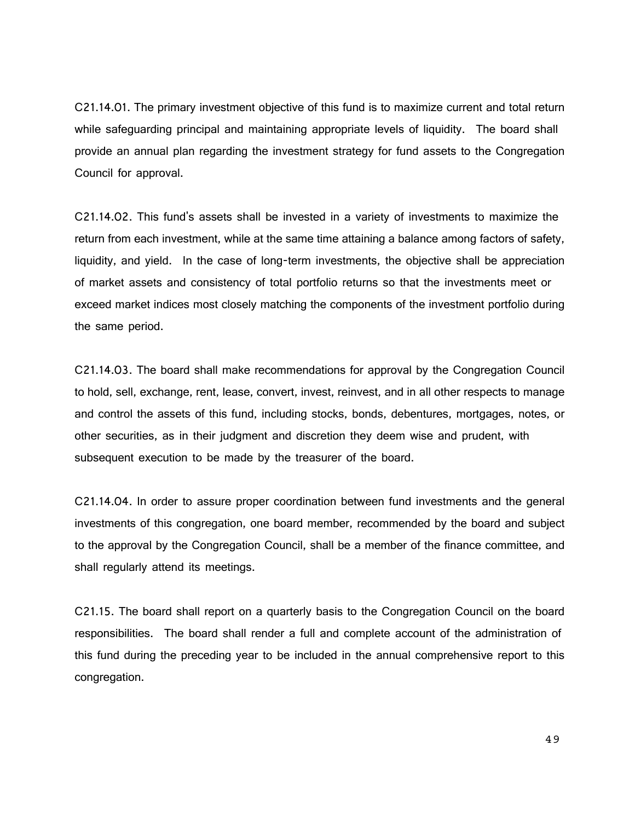C21.14.01. The primary investment objective of this fund is to maximize current and total return while safeguarding principal and maintaining appropriate levels of liquidity. The board shall provide an annual plan regarding the investment strategy for fund assets to the Congregation Council for approval.

C21.14.02. This fund's assets shall be invested in a variety of investments to maximize the return from each investment, while at the same time attaining a balance among factors of safety, liquidity, and yield. In the case of long-term investments, the objective shall be appreciation of market assets and consistency of total portfolio returns so that the investments meet or exceed market indices most closely matching the components of the investment portfolio during the same period.

C21.14.03. The board shall make recommendations for approval by the Congregation Council to hold, sell, exchange, rent, lease, convert, invest, reinvest, and in all other respects to manage and control the assets of this fund, including stocks, bonds, debentures, mortgages, notes, or other securities, as in their judgment and discretion they deem wise and prudent, with subsequent execution to be made by the treasurer of the board.

C21.14.04. In order to assure proper coordination between fund investments and the general investments of this congregation, one board member, recommended by the board and subject to the approval by the Congregation Council, shall be a member of the finance committee, and shall regularly attend its meetings.

C21.15. The board shall report on a quarterly basis to the Congregation Council on the board responsibilities. The board shall render a full and complete account of the administration of this fund during the preceding year to be included in the annual comprehensive report to this congregation.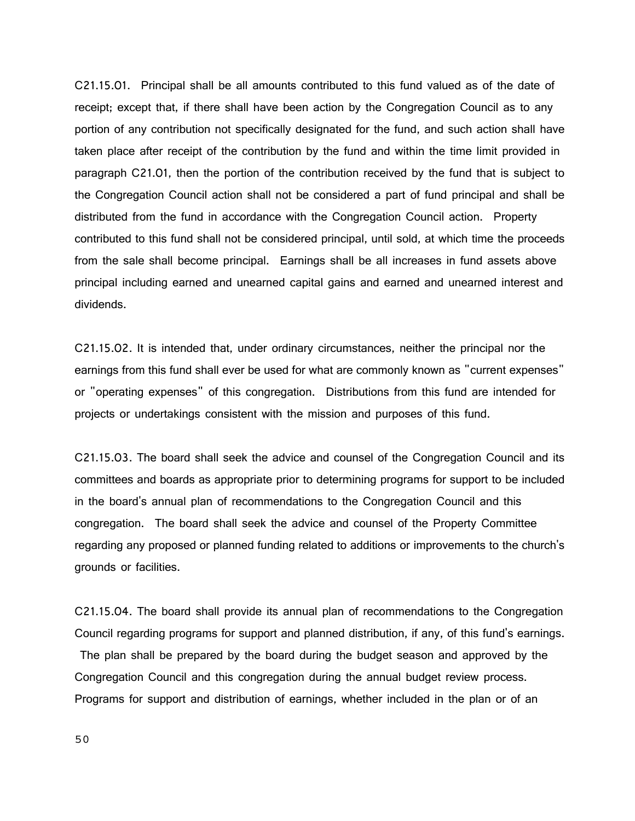C21.15.01. Principal shall be all amounts contributed to this fund valued as of the date of receipt; except that, if there shall have been action by the Congregation Council as to any portion of any contribution not specifically designated for the fund, and such action shall have taken place after receipt of the contribution by the fund and within the time limit provided in paragraph C21.01, then the portion of the contribution received by the fund that is subject to the Congregation Council action shall not be considered a part of fund principal and shall be distributed from the fund in accordance with the Congregation Council action. Property contributed to this fund shall not be considered principal, until sold, at which time the proceeds from the sale shall become principal. Earnings shall be all increases in fund assets above principal including earned and unearned capital gains and earned and unearned interest and dividends.

C21.15.02. It is intended that, under ordinary circumstances, neither the principal nor the earnings from this fund shall ever be used for what are commonly known as "current expenses" or "operating expenses" of this congregation. Distributions from this fund are intended for projects or undertakings consistent with the mission and purposes of this fund.

C21.15.03. The board shall seek the advice and counsel of the Congregation Council and its committees and boards as appropriate prior to determining programs for support to be included in the board's annual plan of recommendations to the Congregation Council and this congregation. The board shall seek the advice and counsel of the Property Committee regarding any proposed or planned funding related to additions or improvements to the church's grounds or facilities.

C21.15.04. The board shall provide its annual plan of recommendations to the Congregation Council regarding programs for support and planned distribution, if any, of this fund's earnings. The plan shall be prepared by the board during the budget season and approved by the Congregation Council and this congregation during the annual budget review process. Programs for support and distribution of earnings, whether included in the plan or of an

50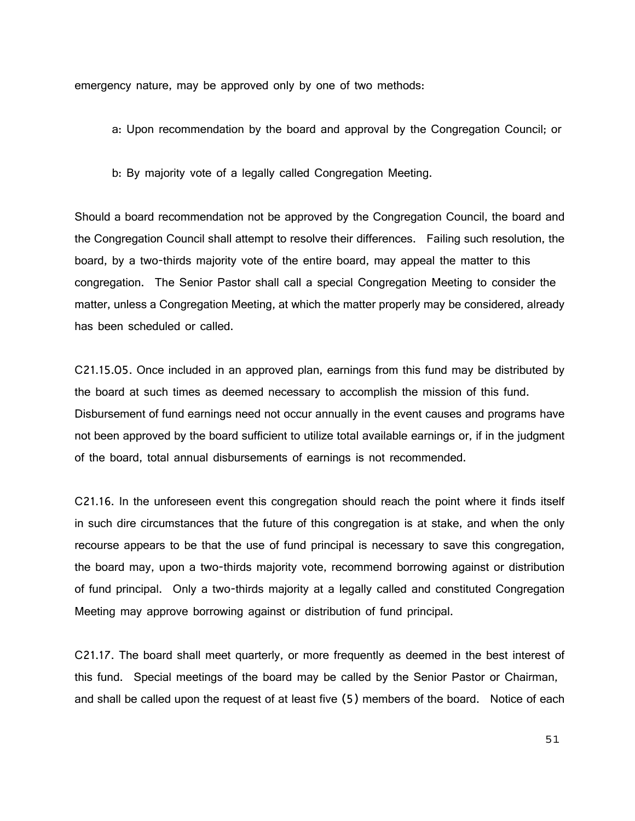emergency nature, may be approved only by one of two methods:

a: Upon recommendation by the board and approval by the Congregation Council; or

b: By majority vote of a legally called Congregation Meeting.

Should a board recommendation not be approved by the Congregation Council, the board and the Congregation Council shall attempt to resolve their differences. Failing such resolution, the board, by a two-thirds majority vote of the entire board, may appeal the matter to this congregation. The Senior Pastor shall call a special Congregation Meeting to consider the matter, unless a Congregation Meeting, at which the matter properly may be considered, already has been scheduled or called.

C21.15.05. Once included in an approved plan, earnings from this fund may be distributed by the board at such times as deemed necessary to accomplish the mission of this fund. Disbursement of fund earnings need not occur annually in the event causes and programs have not been approved by the board sufficient to utilize total available earnings or, if in the judgment of the board, total annual disbursements of earnings is not recommended.

C21.16. In the unforeseen event this congregation should reach the point where it finds itself in such dire circumstances that the future of this congregation is at stake, and when the only recourse appears to be that the use of fund principal is necessary to save this congregation, the board may, upon a two-thirds majority vote, recommend borrowing against or distribution of fund principal. Only a two-thirds majority at a legally called and constituted Congregation Meeting may approve borrowing against or distribution of fund principal.

C21.17. The board shall meet quarterly, or more frequently as deemed in the best interest of this fund. Special meetings of the board may be called by the Senior Pastor or Chairman, and shall be called upon the request of at least five (5) members of the board. Notice of each